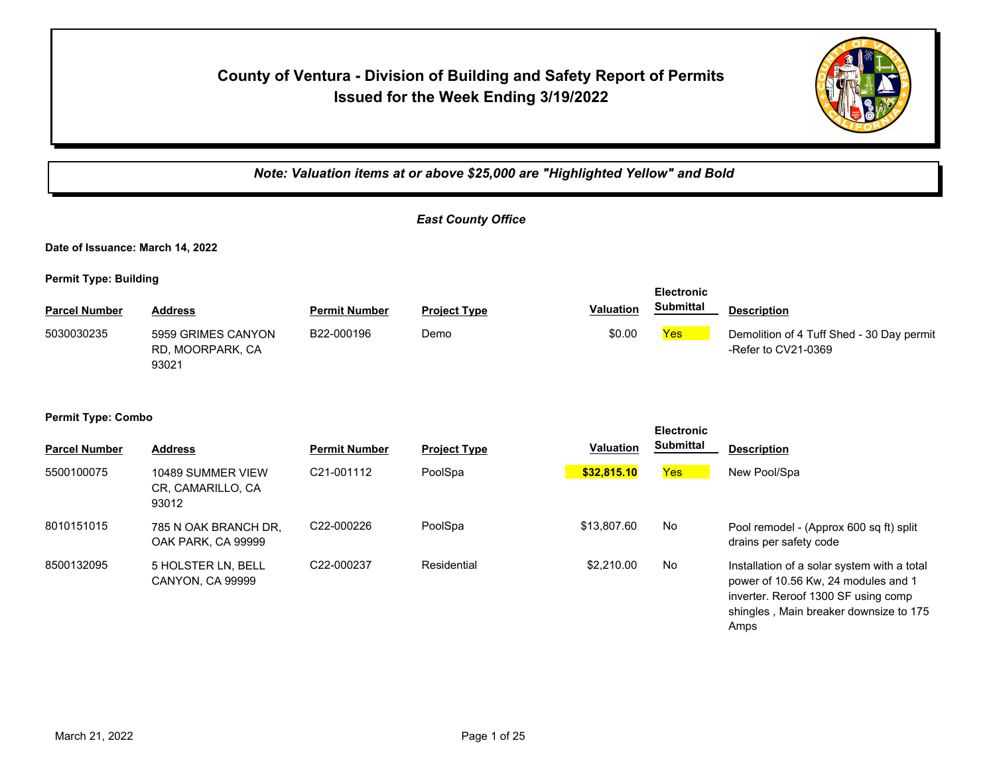## **County of Ventura - Division of Building and Safety Report of Permits Issued for the Week Ending 3/19/2022**



Amps

*Note: Valuation items at or above \$25,000 are "Highlighted Yellow" and Bold East County Office* **Date of Issuance: March 14, 2022 Permit Type: Building Parcel Number Address Permit Number Project Type Valuation Description Electronic Submittal** 5030030235 5959 GRIMES CANYON B22-000196 Demo \$0.00 <mark>Yes</mark> RD, MOORPARK, CA 93021 B22-000196 Demo Demo \$0.00 Pres Demolition of 4 Tuff Shed - 30 Day permit -Refer to CV21-0369 **Permit Type: Combo Parcel Number Address <b>Permit Number Project Type Valuation Submittal Description Electronic Submittal** 5500100075 10489 SUMMER VIEW C21-001112 PoolSpa <mark> \$32,815.10</mark> <mark>Yes </mark> New Pool/Spa CR, CAMARILLO, CA 93012 8010151015 785 N OAK BRANCH DR, C22-000226 PoolSpa \$13,807.60 No OAK PARK, CA 99999 C22-000226 PoolSpa  $$13,807.60$  No Pool remodel - (Approx 600 sq ft) split drains per safety code 8500132095 5 HOLSTER LN, BELL C22-000237 Residential \$2,210.00 No CANYON, CA 99999 C22-000237 Residential  $$2,210.00$  No Installation of a solar system with a total power of 10.56 Kw, 24 modules and 1 inverter. Reroof 1300 SF using comp shingles , Main breaker downsize to 175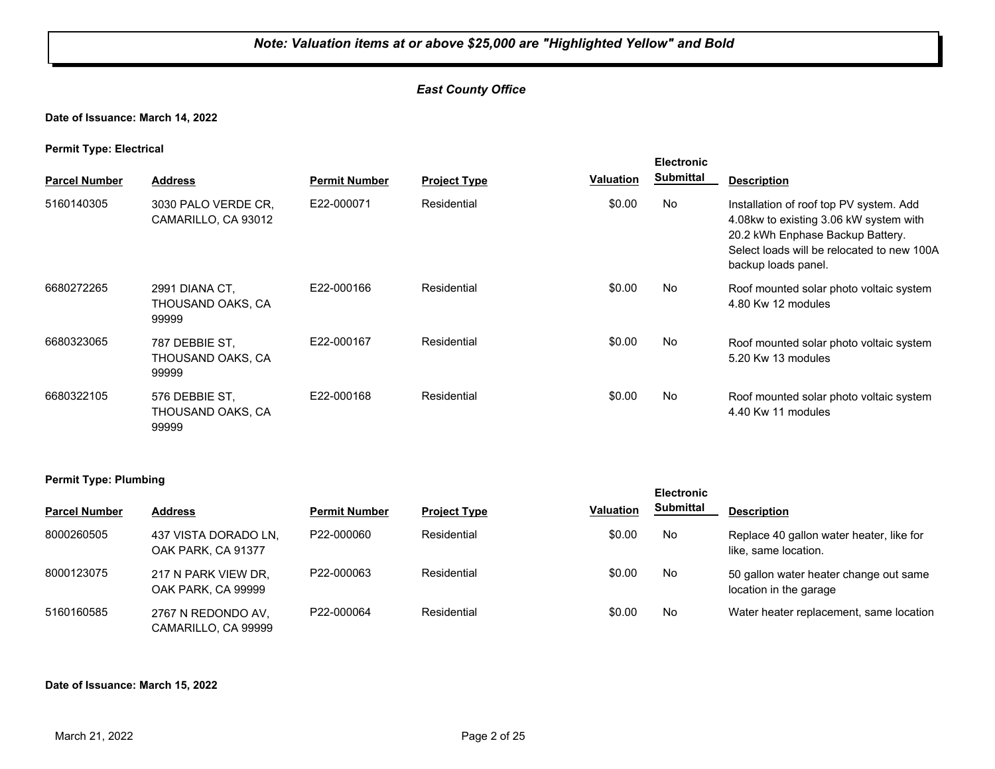#### *East County Office*

**Date of Issuance: March 14, 2022**

**Permit Type: Electrical**

| . .<br><b>Parcel Number</b>  | <b>Address</b>                               | <b>Permit Number</b> | <b>Project Type</b> | <b>Valuation</b> | <b>Electronic</b><br><b>Submittal</b> | <b>Description</b>                                                                                                                                                                         |
|------------------------------|----------------------------------------------|----------------------|---------------------|------------------|---------------------------------------|--------------------------------------------------------------------------------------------------------------------------------------------------------------------------------------------|
| 5160140305                   | 3030 PALO VERDE CR,<br>CAMARILLO, CA 93012   | E22-000071           | Residential         | \$0.00           | No                                    | Installation of roof top PV system. Add<br>4.08kw to existing 3.06 kW system with<br>20.2 kWh Enphase Backup Battery.<br>Select loads will be relocated to new 100A<br>backup loads panel. |
| 6680272265                   | 2991 DIANA CT,<br>THOUSAND OAKS, CA<br>99999 | E22-000166           | Residential         | \$0.00           | No                                    | Roof mounted solar photo voltaic system<br>4.80 Kw 12 modules                                                                                                                              |
| 6680323065                   | 787 DEBBIE ST,<br>THOUSAND OAKS, CA<br>99999 | E22-000167           | Residential         | \$0.00           | No                                    | Roof mounted solar photo voltaic system<br>5.20 Kw 13 modules                                                                                                                              |
| 6680322105                   | 576 DEBBIE ST,<br>THOUSAND OAKS, CA<br>99999 | E22-000168           | Residential         | \$0.00           | No                                    | Roof mounted solar photo voltaic system<br>4.40 Kw 11 modules                                                                                                                              |
| <b>Permit Type: Plumbing</b> |                                              |                      |                     |                  | <b>Electronic</b><br>.                |                                                                                                                                                                                            |

| <b>Parcel Number</b> | <b>Address</b>                             | <b>Permit Number</b> | <b>Project Type</b> | <b>Valuation</b> | <b>Submittal</b> | <b>Description</b>                                               |
|----------------------|--------------------------------------------|----------------------|---------------------|------------------|------------------|------------------------------------------------------------------|
| 8000260505           | 437 VISTA DORADO LN.<br>OAK PARK, CA 91377 | P22-000060           | Residential         | \$0.00           | No               | Replace 40 gallon water heater, like for<br>like, same location. |
| 8000123075           | 217 N PARK VIEW DR.<br>OAK PARK, CA 99999  | P22-000063           | Residential         | \$0.00           | No               | 50 gallon water heater change out same<br>location in the garage |
| 5160160585           | 2767 N REDONDO AV,<br>CAMARILLO, CA 99999  | P22-000064           | Residential         | \$0.00           | No               | Water heater replacement, same location                          |

**Date of Issuance: March 15, 2022**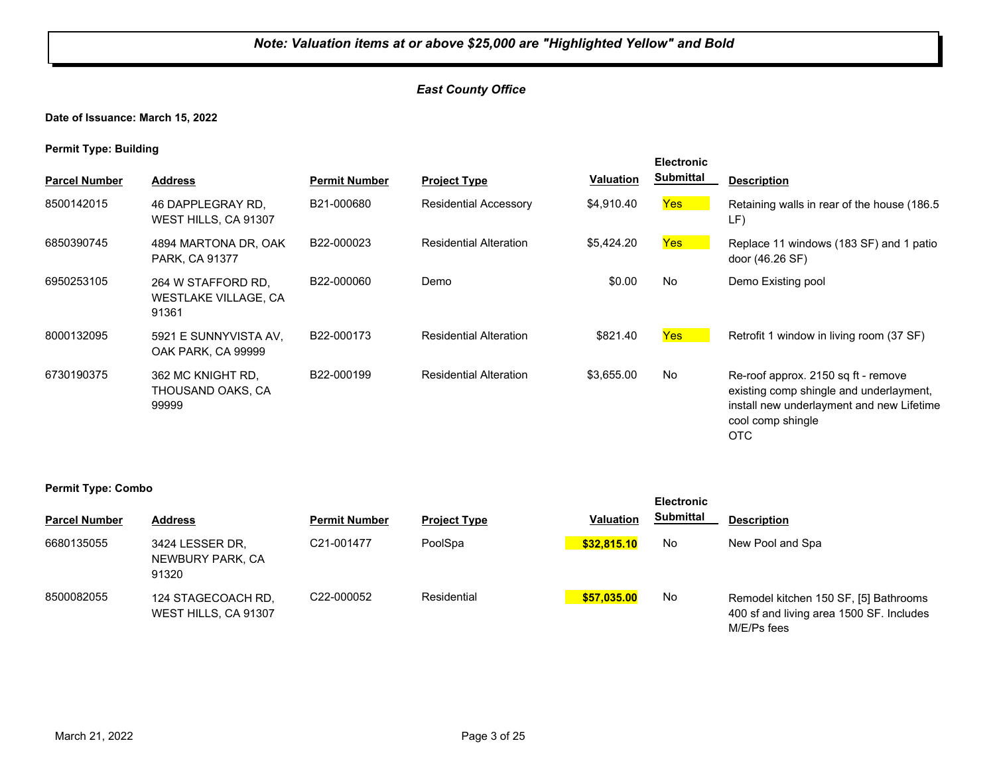#### *East County Office*

**Date of Issuance: March 15, 2022**

**Permit Type: Building**

|                      |                                                     |                      |                               |                  | <b>Electronic</b> |                                                                                                                                                         |
|----------------------|-----------------------------------------------------|----------------------|-------------------------------|------------------|-------------------|---------------------------------------------------------------------------------------------------------------------------------------------------------|
| <b>Parcel Number</b> | <b>Address</b>                                      | <b>Permit Number</b> | <b>Project Type</b>           | <b>Valuation</b> | Submittal         | <b>Description</b>                                                                                                                                      |
| 8500142015           | 46 DAPPLEGRAY RD.<br>WEST HILLS, CA 91307           | B21-000680           | <b>Residential Accessory</b>  | \$4,910.40       | <b>Yes</b>        | Retaining walls in rear of the house (186.5)<br>LF)                                                                                                     |
| 6850390745           | 4894 MARTONA DR, OAK<br>PARK, CA 91377              | B22-000023           | <b>Residential Alteration</b> | \$5,424.20       | Yes               | Replace 11 windows (183 SF) and 1 patio<br>door (46.26 SF)                                                                                              |
| 6950253105           | 264 W STAFFORD RD.<br>WESTLAKE VILLAGE, CA<br>91361 | B22-000060           | Demo                          | \$0.00           | No                | Demo Existing pool                                                                                                                                      |
| 8000132095           | 5921 E SUNNYVISTA AV.<br>OAK PARK, CA 99999         | B22-000173           | <b>Residential Alteration</b> | \$821.40         | <b>Yes</b>        | Retrofit 1 window in living room (37 SF)                                                                                                                |
| 6730190375           | 362 MC KNIGHT RD.<br>THOUSAND OAKS, CA<br>99999     | B22-000199           | <b>Residential Alteration</b> | \$3,655.00       | No                | Re-roof approx. 2150 sq ft - remove<br>existing comp shingle and underlayment,<br>install new underlayment and new Lifetime<br>cool comp shingle<br>OTC |

|                      |                                              |                         |                     |                  | <b>Electronic</b> |                                                                                                  |
|----------------------|----------------------------------------------|-------------------------|---------------------|------------------|-------------------|--------------------------------------------------------------------------------------------------|
| <b>Parcel Number</b> | <b>Address</b>                               | <b>Permit Number</b>    | <b>Project Type</b> | <b>Valuation</b> | <b>Submittal</b>  | <b>Description</b>                                                                               |
| 6680135055           | 3424 LESSER DR,<br>NEWBURY PARK, CA<br>91320 | C21-001477              | PoolSpa             | \$32,815.10      | No                | New Pool and Spa                                                                                 |
| 8500082055           | 124 STAGECOACH RD,<br>WEST HILLS, CA 91307   | C <sub>22</sub> -000052 | Residential         | \$57.035.00      | No                | Remodel kitchen 150 SF, [5] Bathrooms<br>400 sf and living area 1500 SF. Includes<br>M/E/Ps fees |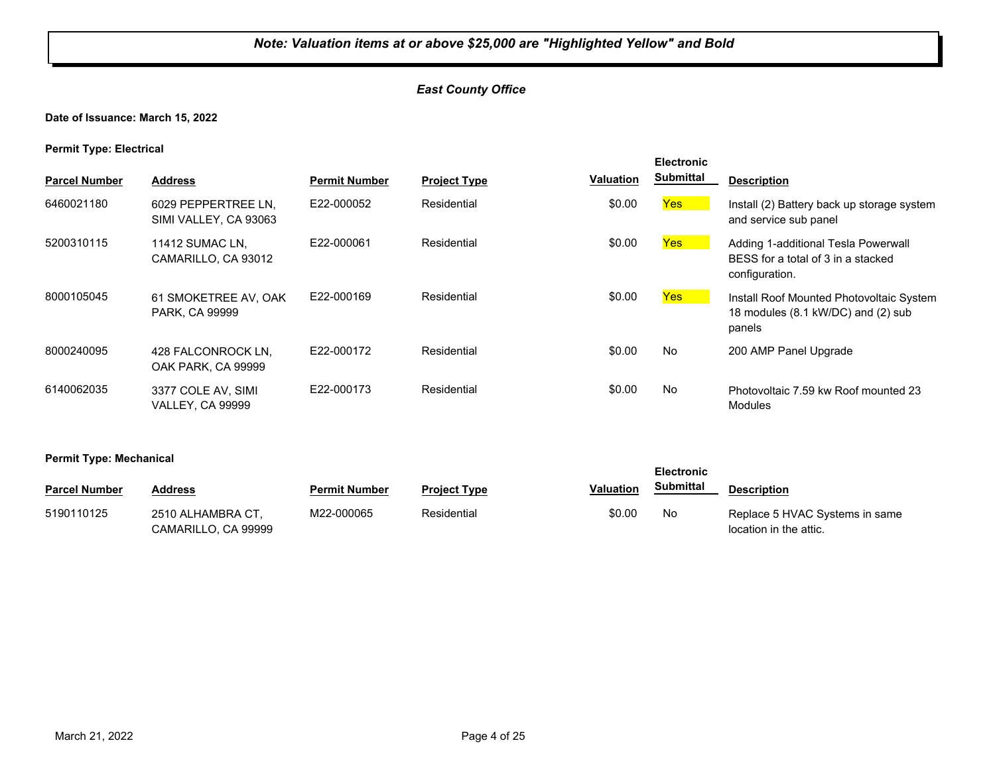#### *East County Office*

**Date of Issuance: March 15, 2022**

**Permit Type: Electrical**

|                      |                                               |                      |                     |                  | <b>Electronic</b> |                                                                                             |
|----------------------|-----------------------------------------------|----------------------|---------------------|------------------|-------------------|---------------------------------------------------------------------------------------------|
| <b>Parcel Number</b> | <b>Address</b>                                | <b>Permit Number</b> | <b>Project Type</b> | <b>Valuation</b> | <b>Submittal</b>  | <b>Description</b>                                                                          |
| 6460021180           | 6029 PEPPERTREE LN.<br>SIMI VALLEY, CA 93063  | E22-000052           | Residential         | \$0.00           | Yes               | Install (2) Battery back up storage system<br>and service sub panel                         |
| 5200310115           | 11412 SUMAC LN,<br>CAMARILLO, CA 93012        | E22-000061           | Residential         | \$0.00           | <b>Yes</b>        | Adding 1-additional Tesla Powerwall<br>BESS for a total of 3 in a stacked<br>configuration. |
| 8000105045           | 61 SMOKETREE AV, OAK<br><b>PARK, CA 99999</b> | E22-000169           | Residential         | \$0.00           | <b>Yes</b>        | Install Roof Mounted Photovoltaic System<br>18 modules (8.1 kW/DC) and (2) sub<br>panels    |
| 8000240095           | 428 FALCONROCK LN.<br>OAK PARK, CA 99999      | E22-000172           | Residential         | \$0.00           | No                | 200 AMP Panel Upgrade                                                                       |
| 6140062035           | 3377 COLE AV, SIMI<br><b>VALLEY, CA 99999</b> | E22-000173           | Residential         | \$0.00           | No                | Photovoltaic 7.59 kw Roof mounted 23<br><b>Modules</b>                                      |

**Permit Type: Mechanical**

| . .                  |                                          |                      | <b>Electronic</b>   |                  |           |                                                          |
|----------------------|------------------------------------------|----------------------|---------------------|------------------|-----------|----------------------------------------------------------|
| <b>Parcel Number</b> | Address                                  | <b>Permit Number</b> | <b>Project Type</b> | <b>Valuation</b> | Submittal | <b>Description</b>                                       |
| 5190110125           | 2510 ALHAMBRA CT.<br>CAMARILLO, CA 99999 | M22-000065           | Residential         | \$0.00           | No        | Replace 5 HVAC Systems in same<br>location in the attic. |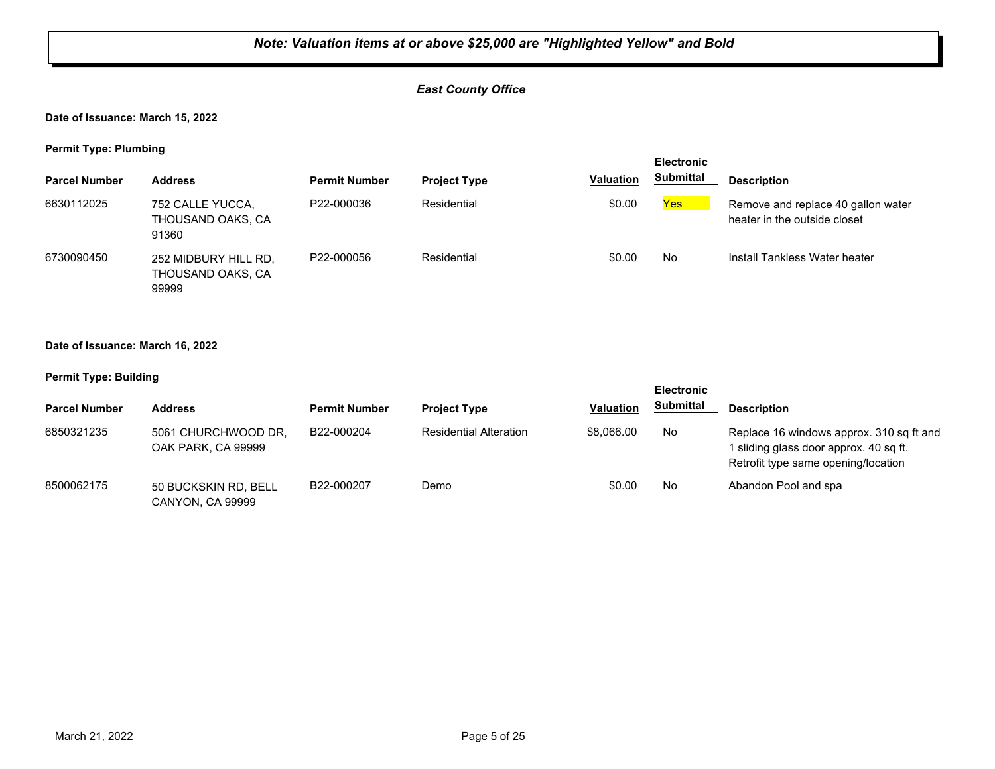#### *East County Office*

**Date of Issuance: March 15, 2022**

**Permit Type: Plumbing**

| . .                  | . .                                                |                      |                     |                  | <b>Electronic</b> |                                                                    |
|----------------------|----------------------------------------------------|----------------------|---------------------|------------------|-------------------|--------------------------------------------------------------------|
| <b>Parcel Number</b> | <b>Address</b>                                     | <b>Permit Number</b> | <b>Project Type</b> | <b>Valuation</b> | <b>Submittal</b>  | <b>Description</b>                                                 |
| 6630112025           | 752 CALLE YUCCA,<br>THOUSAND OAKS, CA<br>91360     | P22-000036           | Residential         | \$0.00           | <b>Yes</b>        | Remove and replace 40 gallon water<br>heater in the outside closet |
| 6730090450           | 252 MIDBURY HILL RD,<br>THOUSAND OAKS, CA<br>99999 | P22-000056           | Residential         | \$0.00           | No                | Install Tankless Water heater                                      |

#### **Date of Issuance: March 16, 2022**

|                      |                                           |                      |                               |                  | <b>Electronic</b> |                                                                                                                           |
|----------------------|-------------------------------------------|----------------------|-------------------------------|------------------|-------------------|---------------------------------------------------------------------------------------------------------------------------|
| <b>Parcel Number</b> | <b>Address</b>                            | <b>Permit Number</b> | <b>Project Type</b>           | <b>Valuation</b> | <b>Submittal</b>  | <b>Description</b>                                                                                                        |
| 6850321235           | 5061 CHURCHWOOD DR.<br>OAK PARK, CA 99999 | B22-000204           | <b>Residential Alteration</b> | \$8,066,00       | No                | Replace 16 windows approx. 310 sq ft and<br>1 sliding glass door approx. 40 sq ft.<br>Retrofit type same opening/location |
| 8500062175           | 50 BUCKSKIN RD, BELL<br>CANYON. CA 99999  | B22-000207           | Demo                          | \$0.00           | No                | Abandon Pool and spa                                                                                                      |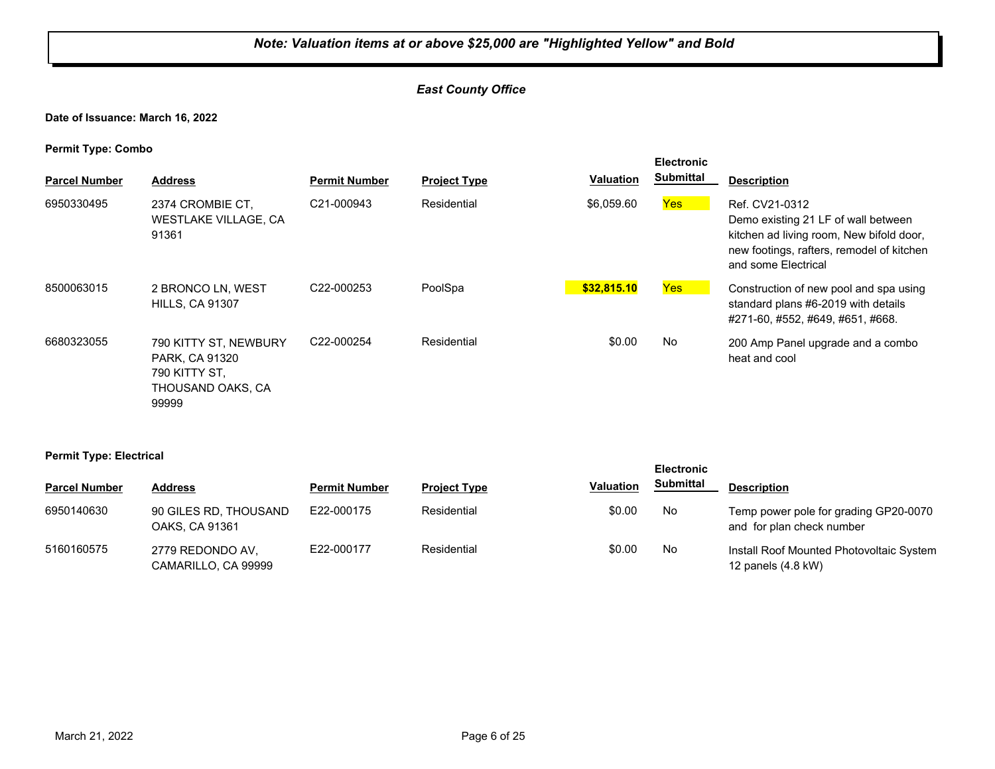#### *East County Office*

**Date of Issuance: March 16, 2022**

**Permit Type: Combo**

| . .<br><b>Parcel Number</b> | <b>Address</b>                                                                | <b>Permit Number</b>    | <b>Project Type</b> | <b>Valuation</b> | <b>Electronic</b><br><b>Submittal</b> | <b>Description</b>                                                                                                                                                    |
|-----------------------------|-------------------------------------------------------------------------------|-------------------------|---------------------|------------------|---------------------------------------|-----------------------------------------------------------------------------------------------------------------------------------------------------------------------|
| 6950330495                  | 2374 CROMBIE CT.<br><b>WESTLAKE VILLAGE, CA</b><br>91361                      | C21-000943              | Residential         | \$6,059.60       | <b>Yes</b>                            | Ref. CV21-0312<br>Demo existing 21 LF of wall between<br>kitchen ad living room, New bifold door,<br>new footings, rafters, remodel of kitchen<br>and some Electrical |
| 8500063015                  | 2 BRONCO LN, WEST<br><b>HILLS, CA 91307</b>                                   | C <sub>22</sub> -000253 | PoolSpa             | \$32.815.10      | Yes                                   | Construction of new pool and spa using<br>standard plans #6-2019 with details<br>#271-60, #552, #649, #651, #668.                                                     |
| 6680323055                  | 790 KITTY ST, NEWBURY<br>PARK, CA 91320<br>790 KITTY ST.<br>THOUSAND OAKS, CA | C22-000254              | Residential         | \$0.00           | <b>No</b>                             | 200 Amp Panel upgrade and a combo<br>heat and cool                                                                                                                    |

**Permit Type: Electrical**

99999

| - -                  |                                         |                      |                     |                  | <b>Electronic</b> |                                                                    |
|----------------------|-----------------------------------------|----------------------|---------------------|------------------|-------------------|--------------------------------------------------------------------|
| <b>Parcel Number</b> | <b>Address</b>                          | <b>Permit Number</b> | <b>Project Type</b> | <b>Valuation</b> | <b>Submittal</b>  | <b>Description</b>                                                 |
| 6950140630           | 90 GILES RD, THOUSAND<br>OAKS, CA 91361 | E22-000175           | Residential         | \$0.00           | No                | Temp power pole for grading GP20-0070<br>and for plan check number |
| 5160160575           | 2779 REDONDO AV,<br>CAMARILLO, CA 99999 | E22-000177           | Residential         | \$0.00           | No                | Install Roof Mounted Photovoltaic System<br>12 panels (4.8 kW)     |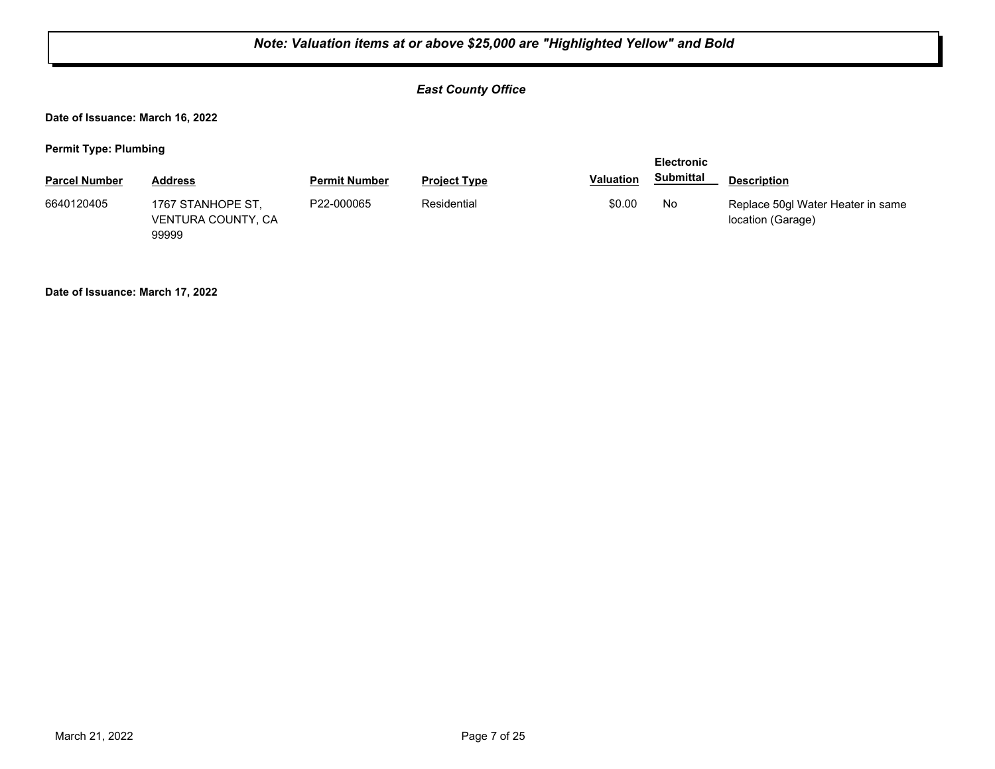#### *East County Office*

**Date of Issuance: March 16, 2022**

**Permit Type: Plumbing**

| <b>Parcel Number</b> | <b>Address</b>                                   | <b>Permit Number</b> | <b>Project Type</b> | <b>Valuation</b> | <b>Submittal</b> | <b>Description</b>                                     |
|----------------------|--------------------------------------------------|----------------------|---------------------|------------------|------------------|--------------------------------------------------------|
| 6640120405           | 1767 STANHOPE ST,<br>VENTURA COUNTY, CA<br>99999 | P22-000065           | Residential         | \$0.00           | No               | Replace 50gl Water Heater in same<br>location (Garage) |

**Date of Issuance: March 17, 2022**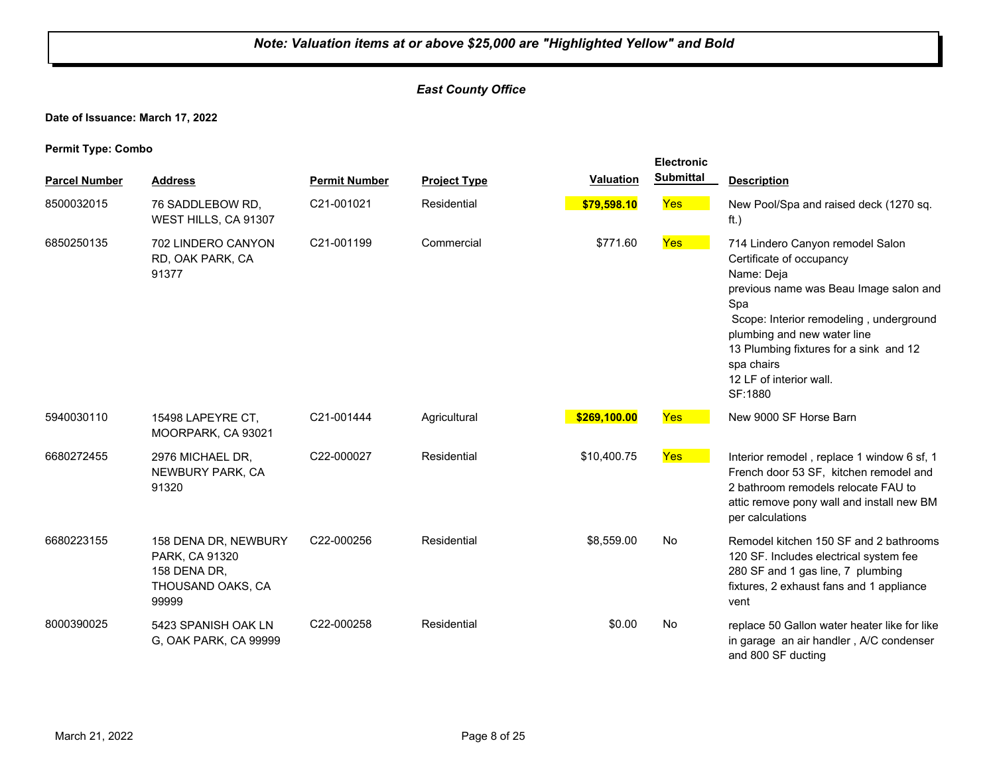#### *East County Office*

**Date of Issuance: March 17, 2022**

| <b>Parcel Number</b> | <b>Address</b>                                                                       | <b>Permit Number</b> | <b>Project Type</b> | <b>Valuation</b> | <b>Electronic</b><br><b>Submittal</b> | <b>Description</b>                                                                                                                                                                                                                                                                                  |
|----------------------|--------------------------------------------------------------------------------------|----------------------|---------------------|------------------|---------------------------------------|-----------------------------------------------------------------------------------------------------------------------------------------------------------------------------------------------------------------------------------------------------------------------------------------------------|
| 8500032015           | 76 SADDLEBOW RD.<br>WEST HILLS, CA 91307                                             | C21-001021           | Residential         | \$79,598.10      | Yes                                   | New Pool/Spa and raised deck (1270 sq.<br>ft.)                                                                                                                                                                                                                                                      |
| 6850250135           | 702 LINDERO CANYON<br>RD, OAK PARK, CA<br>91377                                      | C21-001199           | Commercial          | \$771.60         | Yes                                   | 714 Lindero Canyon remodel Salon<br>Certificate of occupancy<br>Name: Deja<br>previous name was Beau Image salon and<br>Spa<br>Scope: Interior remodeling, underground<br>plumbing and new water line<br>13 Plumbing fixtures for a sink and 12<br>spa chairs<br>12 LF of interior wall.<br>SF:1880 |
| 5940030110           | 15498 LAPEYRE CT,<br>MOORPARK, CA 93021                                              | C21-001444           | Agricultural        | \$269,100.00     | Yes                                   | New 9000 SF Horse Barn                                                                                                                                                                                                                                                                              |
| 6680272455           | 2976 MICHAEL DR,<br>NEWBURY PARK, CA<br>91320                                        | C22-000027           | Residential         | \$10,400.75      | Yes                                   | Interior remodel, replace 1 window 6 sf, 1<br>French door 53 SF. kitchen remodel and<br>2 bathroom remodels relocate FAU to<br>attic remove pony wall and install new BM<br>per calculations                                                                                                        |
| 6680223155           | 158 DENA DR, NEWBURY<br>PARK, CA 91320<br>158 DENA DR,<br>THOUSAND OAKS, CA<br>99999 | C22-000256           | Residential         | \$8,559.00       | No                                    | Remodel kitchen 150 SF and 2 bathrooms<br>120 SF. Includes electrical system fee<br>280 SF and 1 gas line, 7 plumbing<br>fixtures, 2 exhaust fans and 1 appliance<br>vent                                                                                                                           |
| 8000390025           | 5423 SPANISH OAK LN<br>G, OAK PARK, CA 99999                                         | C22-000258           | Residential         | \$0.00           | No                                    | replace 50 Gallon water heater like for like<br>in garage an air handler, A/C condenser<br>and 800 SF ducting                                                                                                                                                                                       |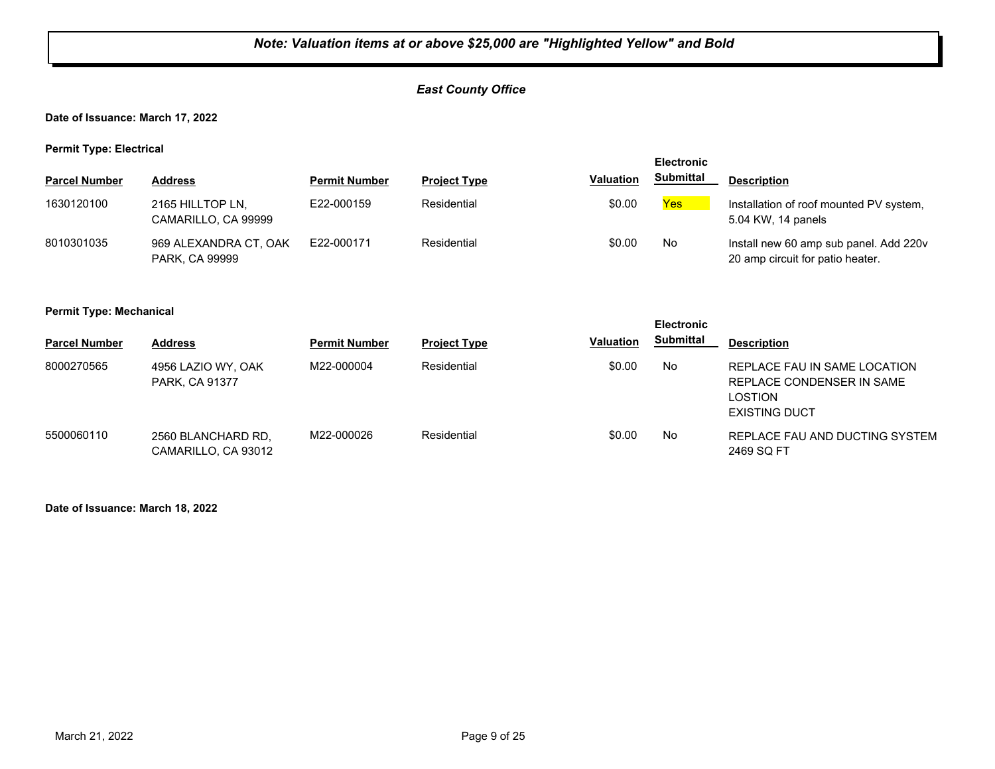#### *East County Office*

**Date of Issuance: March 17, 2022**

**Permit Type: Electrical**

|                      |                                         |                      |                     |                  | <b>Electronic</b> |                                                                            |  |
|----------------------|-----------------------------------------|----------------------|---------------------|------------------|-------------------|----------------------------------------------------------------------------|--|
| <b>Parcel Number</b> | Address                                 | <b>Permit Number</b> | <b>Project Type</b> | <b>Valuation</b> | <b>Submittal</b>  | <b>Description</b>                                                         |  |
| 1630120100           | 2165 HILLTOP LN,<br>CAMARILLO, CA 99999 | E22-000159           | Residential         | \$0.00           | <b>Yes</b>        | Installation of roof mounted PV system,<br>5.04 KW, 14 panels              |  |
| 8010301035           | 969 ALEXANDRA CT, OAK<br>PARK, CA 99999 | F22-000171           | Residential         | \$0.00           | No                | Install new 60 amp sub panel. Add 220v<br>20 amp circuit for patio heater. |  |

#### **Permit Type: Mechanical**

| . .                  |                                           |                      |                     |                  | <b>Electronic</b> |                                                                                              |
|----------------------|-------------------------------------------|----------------------|---------------------|------------------|-------------------|----------------------------------------------------------------------------------------------|
| <b>Parcel Number</b> | <b>Address</b>                            | <b>Permit Number</b> | <b>Project Type</b> | <b>Valuation</b> | <b>Submittal</b>  | <b>Description</b>                                                                           |
| 8000270565           | 4956 LAZIO WY, OAK<br>PARK, CA 91377      | M22-000004           | Residential         | \$0.00           | No                | REPLACE FAU IN SAME LOCATION<br>REPLACE CONDENSER IN SAME<br>LOSTION<br><b>EXISTING DUCT</b> |
| 5500060110           | 2560 BLANCHARD RD.<br>CAMARILLO, CA 93012 | M22-000026           | Residential         | \$0.00           | No                | REPLACE FAU AND DUCTING SYSTEM<br>2469 SQ FT                                                 |

**Date of Issuance: March 18, 2022**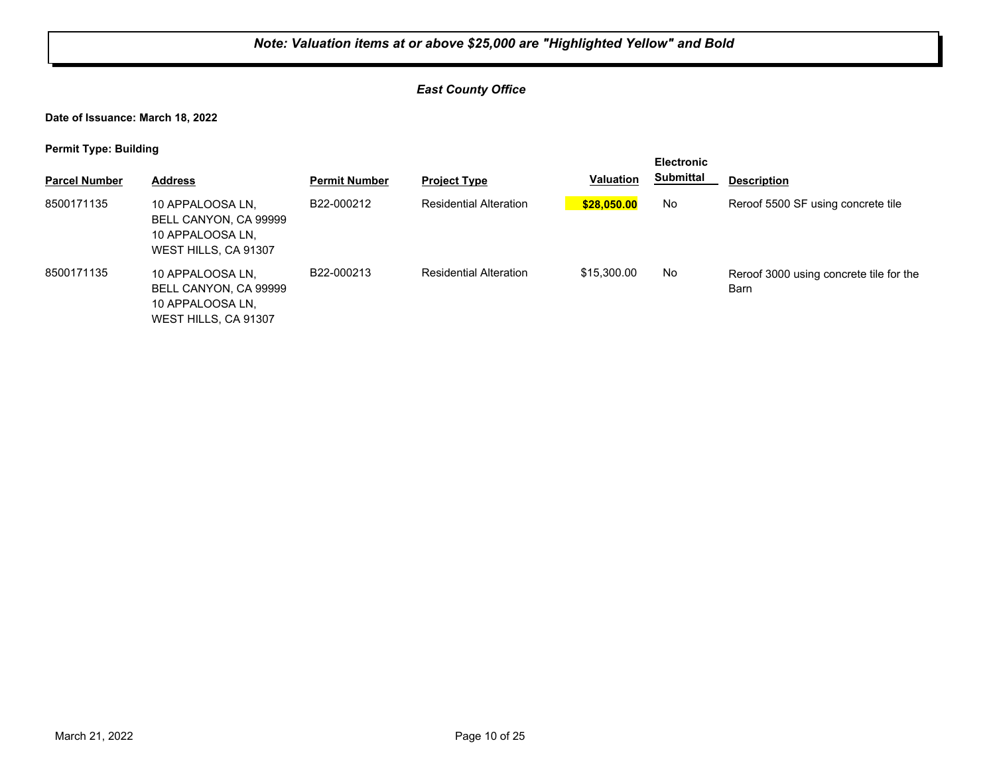#### *East County Office*

**Date of Issuance: March 18, 2022**

| . .                  |                                                                                       |                         |                               |                  | <b>Electronic</b> |                                                 |  |
|----------------------|---------------------------------------------------------------------------------------|-------------------------|-------------------------------|------------------|-------------------|-------------------------------------------------|--|
| <b>Parcel Number</b> | <b>Address</b>                                                                        | <b>Permit Number</b>    | <b>Project Type</b>           | <b>Valuation</b> | <b>Submittal</b>  | <b>Description</b>                              |  |
| 8500171135           | 10 APPALOOSA LN,<br>BELL CANYON, CA 99999<br>10 APPALOOSA LN,<br>WEST HILLS, CA 91307 | B22-000212              | <b>Residential Alteration</b> | \$28,050.00      | No                | Reroof 5500 SF using concrete tile              |  |
| 8500171135           | 10 APPALOOSA LN,<br>BELL CANYON, CA 99999<br>10 APPALOOSA LN,<br>WEST HILLS, CA 91307 | B <sub>22</sub> -000213 | <b>Residential Alteration</b> | \$15,300.00      | No.               | Reroof 3000 using concrete tile for the<br>Barn |  |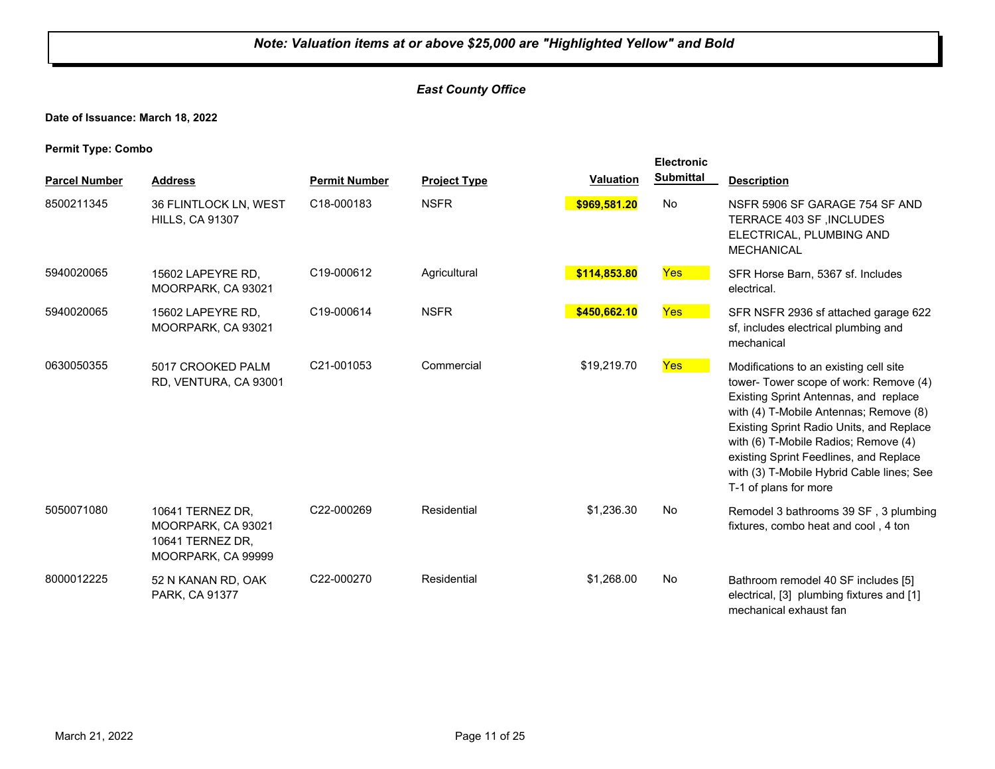#### *East County Office*

**Date of Issuance: March 18, 2022**

|                      |                                                                                  |                      |                     | <b>Valuation</b> | <b>Electronic</b><br><b>Submittal</b> |                                                                                                                                                                                                                                                                                                                                                                         |
|----------------------|----------------------------------------------------------------------------------|----------------------|---------------------|------------------|---------------------------------------|-------------------------------------------------------------------------------------------------------------------------------------------------------------------------------------------------------------------------------------------------------------------------------------------------------------------------------------------------------------------------|
| <b>Parcel Number</b> | <b>Address</b>                                                                   | <b>Permit Number</b> | <b>Project Type</b> |                  |                                       | <b>Description</b>                                                                                                                                                                                                                                                                                                                                                      |
| 8500211345           | 36 FLINTLOCK LN, WEST<br><b>HILLS, CA 91307</b>                                  | C18-000183           | <b>NSFR</b>         | \$969,581.20     | No                                    | NSFR 5906 SF GARAGE 754 SF AND<br>TERRACE 403 SF, INCLUDES<br>ELECTRICAL, PLUMBING AND<br><b>MECHANICAL</b>                                                                                                                                                                                                                                                             |
| 5940020065           | 15602 LAPEYRE RD,<br>MOORPARK, CA 93021                                          | C19-000612           | Agricultural        | \$114,853.80     | Yes                                   | SFR Horse Barn, 5367 sf. Includes<br>electrical.                                                                                                                                                                                                                                                                                                                        |
| 5940020065           | 15602 LAPEYRE RD,<br>MOORPARK, CA 93021                                          | C19-000614           | <b>NSFR</b>         | \$450,662.10     | <b>Yes</b>                            | SFR NSFR 2936 sf attached garage 622<br>sf, includes electrical plumbing and<br>mechanical                                                                                                                                                                                                                                                                              |
| 0630050355           | 5017 CROOKED PALM<br>RD, VENTURA, CA 93001                                       | C21-001053           | Commercial          | \$19,219.70      | <b>Yes</b>                            | Modifications to an existing cell site<br>tower- Tower scope of work: Remove (4)<br>Existing Sprint Antennas, and replace<br>with (4) T-Mobile Antennas; Remove (8)<br>Existing Sprint Radio Units, and Replace<br>with (6) T-Mobile Radios; Remove (4)<br>existing Sprint Feedlines, and Replace<br>with (3) T-Mobile Hybrid Cable lines; See<br>T-1 of plans for more |
| 5050071080           | 10641 TERNEZ DR,<br>MOORPARK, CA 93021<br>10641 TERNEZ DR,<br>MOORPARK, CA 99999 | C22-000269           | Residential         | \$1,236.30       | No                                    | Remodel 3 bathrooms 39 SF, 3 plumbing<br>fixtures, combo heat and cool, 4 ton                                                                                                                                                                                                                                                                                           |
| 8000012225           | 52 N KANAN RD, OAK<br>PARK, CA 91377                                             | C22-000270           | Residential         | \$1,268.00       | No                                    | Bathroom remodel 40 SF includes [5]<br>electrical, [3] plumbing fixtures and [1]<br>mechanical exhaust fan                                                                                                                                                                                                                                                              |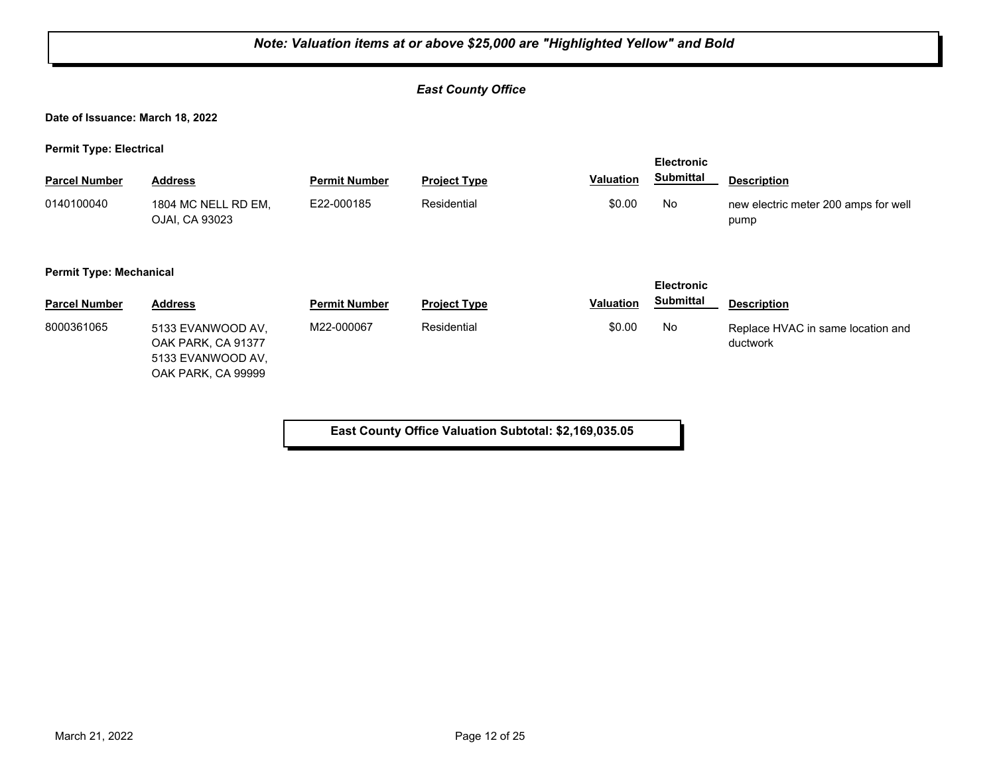#### *East County Office*

**Date of Issuance: March 18, 2022**

**Permit Type: Electrical**

| <b>Parcel Number</b> | <b>Address</b>                          | <b>Permit Number</b> | <b>Project Type</b> | <b>Valuation</b> | <b>Electronic</b><br><b>Submittal</b> | <b>Description</b>                            |  |  |
|----------------------|-----------------------------------------|----------------------|---------------------|------------------|---------------------------------------|-----------------------------------------------|--|--|
| 0140100040           | 1804 MC NELL RD EM.<br>OJAI, CA 93023   | E22-000185           | Residential         | \$0.00           | No                                    | new electric meter 200 amps for well<br>pump  |  |  |
|                      | <b>Permit Type: Mechanical</b>          |                      |                     |                  |                                       |                                               |  |  |
| <b>Parcel Number</b> | <b>Address</b>                          | <b>Permit Number</b> | <b>Project Type</b> | <b>Valuation</b> | <b>Electronic</b><br><b>Submittal</b> | <b>Description</b>                            |  |  |
| 8000361065           | 5133 EVANWOOD AV.<br>OAK PARK, CA 91377 | M22-000067           | Residential         | \$0.00           | No                                    | Replace HVAC in same location and<br>ductwork |  |  |

**East County Office Valuation Subtotal: \$2,169,035.05**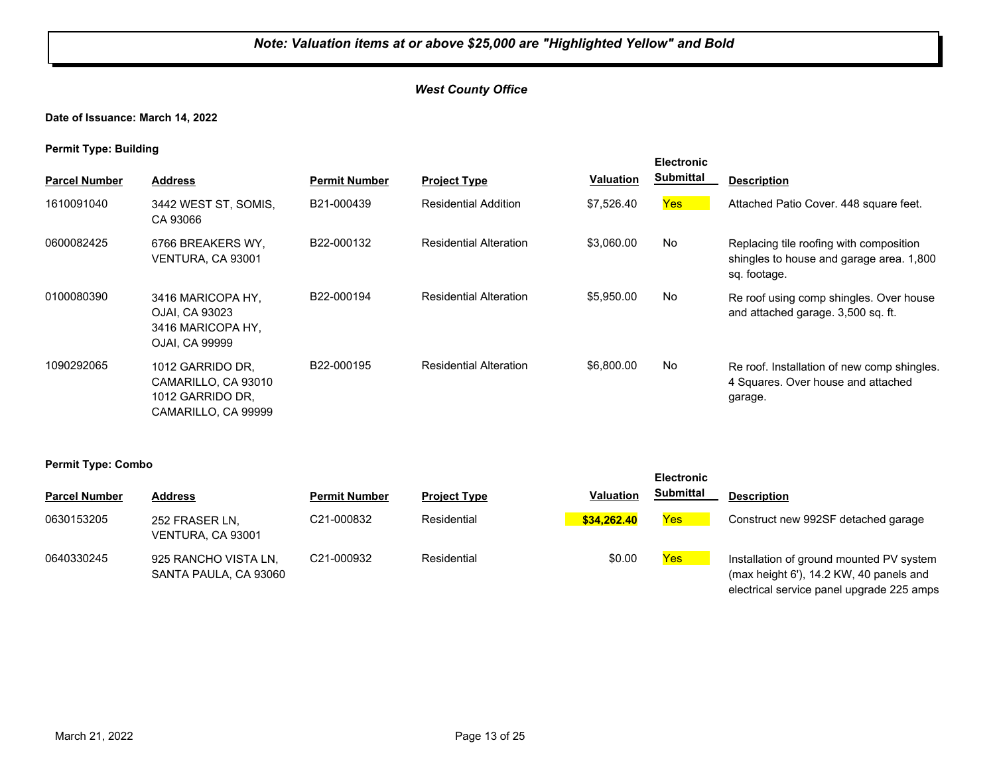#### *West County Office*

**Date of Issuance: March 14, 2022**

**Permit Type: Building**

|                      |                                                                                    |                         |                               |                  | <b>Electronic</b><br>Submittal |                                                                                                     |
|----------------------|------------------------------------------------------------------------------------|-------------------------|-------------------------------|------------------|--------------------------------|-----------------------------------------------------------------------------------------------------|
| <b>Parcel Number</b> | <b>Address</b>                                                                     | <b>Permit Number</b>    | <b>Project Type</b>           | <b>Valuation</b> |                                | <b>Description</b>                                                                                  |
| 1610091040           | 3442 WEST ST, SOMIS,<br>CA 93066                                                   | B21-000439              | <b>Residential Addition</b>   | \$7,526.40       | <b>Yes</b>                     | Attached Patio Cover. 448 square feet.                                                              |
| 0600082425           | 6766 BREAKERS WY.<br>VENTURA, CA 93001                                             | B22-000132              | <b>Residential Alteration</b> | \$3,060.00       | No                             | Replacing tile roofing with composition<br>shingles to house and garage area. 1,800<br>sq. footage. |
| 0100080390           | 3416 MARICOPA HY,<br>OJAI, CA 93023<br>3416 MARICOPA HY,<br>OJAI, CA 99999         | B22-000194              | <b>Residential Alteration</b> | \$5,950.00       | No                             | Re roof using comp shingles. Over house<br>and attached garage. 3,500 sq. ft.                       |
| 1090292065           | 1012 GARRIDO DR.<br>CAMARILLO, CA 93010<br>1012 GARRIDO DR.<br>CAMARILLO, CA 99999 | B <sub>22</sub> -000195 | <b>Residential Alteration</b> | \$6,800.00       | No                             | Re roof. Installation of new comp shingles.<br>4 Squares. Over house and attached<br>garage.        |

| . .                  |                                               |                         |                     |                  | <b>Electronic</b> |                                                                                                                                  |
|----------------------|-----------------------------------------------|-------------------------|---------------------|------------------|-------------------|----------------------------------------------------------------------------------------------------------------------------------|
| <b>Parcel Number</b> | <b>Address</b>                                | <b>Permit Number</b>    | <b>Project Type</b> | <b>Valuation</b> | <b>Submittal</b>  | <b>Description</b>                                                                                                               |
| 0630153205           | 252 FRASER LN,<br>VENTURA. CA 93001           | C <sub>21</sub> -000832 | Residential         | \$34.262.40      | <b>Yes</b>        | Construct new 992SF detached garage                                                                                              |
| 0640330245           | 925 RANCHO VISTA LN.<br>SANTA PAULA, CA 93060 | C21-000932              | Residential         | \$0.00           | <b>Yes</b>        | Installation of ground mounted PV system<br>(max height 6'), 14.2 KW, 40 panels and<br>electrical service panel upgrade 225 amps |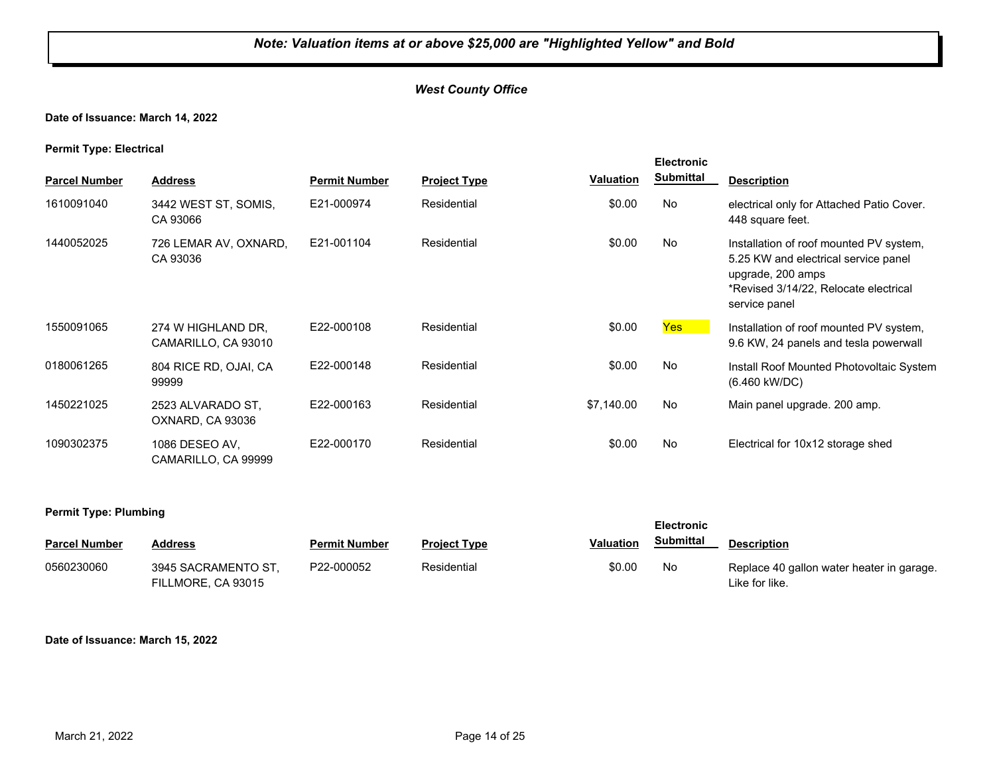#### *West County Office*

**Date of Issuance: March 14, 2022**

**Permit Type: Electrical**

| . .                  |                                           |                      |                     |                  | <b>Electronic</b> |                                                                                                                                                                |
|----------------------|-------------------------------------------|----------------------|---------------------|------------------|-------------------|----------------------------------------------------------------------------------------------------------------------------------------------------------------|
| <b>Parcel Number</b> | <b>Address</b>                            | <b>Permit Number</b> | <b>Project Type</b> | <b>Valuation</b> | <b>Submittal</b>  | <b>Description</b>                                                                                                                                             |
| 1610091040           | 3442 WEST ST, SOMIS,<br>CA 93066          | E21-000974           | Residential         | \$0.00           | No                | electrical only for Attached Patio Cover.<br>448 square feet.                                                                                                  |
| 1440052025           | 726 LEMAR AV, OXNARD,<br>CA 93036         | E21-001104           | Residential         | \$0.00           | No                | Installation of roof mounted PV system,<br>5.25 KW and electrical service panel<br>upgrade, 200 amps<br>*Revised 3/14/22, Relocate electrical<br>service panel |
| 1550091065           | 274 W HIGHLAND DR.<br>CAMARILLO, CA 93010 | E22-000108           | Residential         | \$0.00           | Yes               | Installation of roof mounted PV system,<br>9.6 KW, 24 panels and tesla powerwall                                                                               |
| 0180061265           | 804 RICE RD, OJAI, CA<br>99999            | E22-000148           | Residential         | \$0.00           | No                | Install Roof Mounted Photovoltaic System<br>(6.460 kW/DC)                                                                                                      |
| 1450221025           | 2523 ALVARADO ST.<br>OXNARD, CA 93036     | E22-000163           | Residential         | \$7,140.00       | No                | Main panel upgrade. 200 amp.                                                                                                                                   |
| 1090302375           | 1086 DESEO AV,<br>CAMARILLO, CA 99999     | E22-000170           | Residential         | \$0.00           | No                | Electrical for 10x12 storage shed                                                                                                                              |

#### **Permit Type: Plumbing**

| <b>Parcel Number</b> | Address                                   | <b>Permit Number</b> | <b>Project Type</b> | Valuation | <b>Submittal</b> | <b>Description</b>                                          |
|----------------------|-------------------------------------------|----------------------|---------------------|-----------|------------------|-------------------------------------------------------------|
| 0560230060           | 3945 SACRAMENTO ST.<br>FILLMORE, CA 93015 | P22-000052           | Residential         | \$0.00    | No               | Replace 40 gallon water heater in garage.<br>Like for like. |

**Electronic** 

#### **Date of Issuance: March 15, 2022**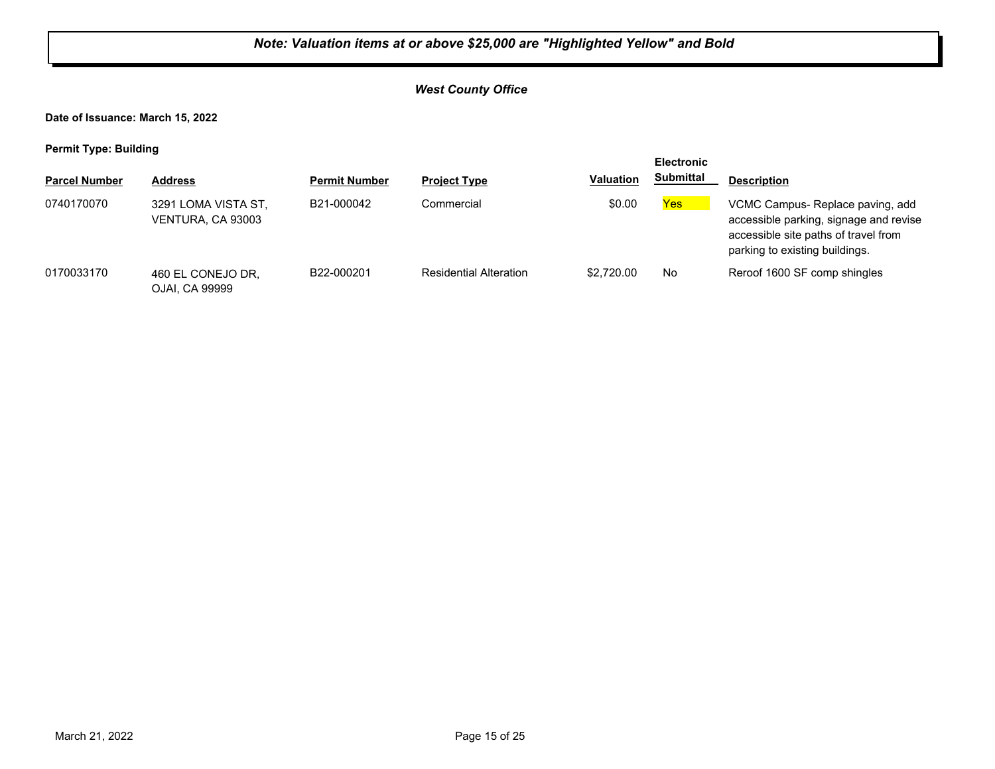#### *West County Office*

**Date of Issuance: March 15, 2022**

| <b>Electronic</b>    |                                          |                      |                               |                  |                  |                                                                                                                                                     |
|----------------------|------------------------------------------|----------------------|-------------------------------|------------------|------------------|-----------------------------------------------------------------------------------------------------------------------------------------------------|
| <b>Parcel Number</b> | <b>Address</b>                           | <b>Permit Number</b> | <b>Project Type</b>           | <b>Valuation</b> | <b>Submittal</b> | <b>Description</b>                                                                                                                                  |
| 0740170070           | 3291 LOMA VISTA ST,<br>VENTURA, CA 93003 | B21-000042           | Commercial                    | \$0.00           | Yes              | VCMC Campus-Replace paving, add<br>accessible parking, signage and revise<br>accessible site paths of travel from<br>parking to existing buildings. |
| 0170033170           | 460 EL CONEJO DR,<br>OJAI. CA 99999      | B22-000201           | <b>Residential Alteration</b> | \$2,720.00       | No.              | Reroof 1600 SF comp shingles                                                                                                                        |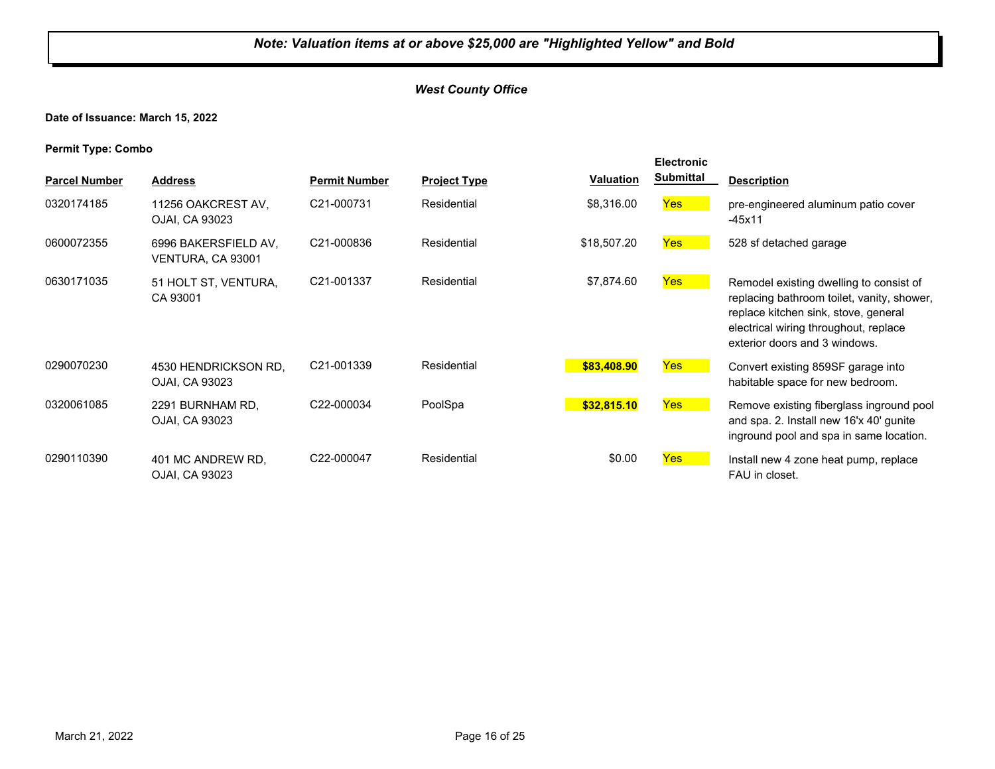#### *West County Office*

**Date of Issuance: March 15, 2022**

|                      |                                           |                      |                     |                  | <b>Electronic</b> |                                                                                                                                                                                                         |
|----------------------|-------------------------------------------|----------------------|---------------------|------------------|-------------------|---------------------------------------------------------------------------------------------------------------------------------------------------------------------------------------------------------|
| <b>Parcel Number</b> | <b>Address</b>                            | <b>Permit Number</b> | <b>Project Type</b> | <b>Valuation</b> | <b>Submittal</b>  | <b>Description</b>                                                                                                                                                                                      |
| 0320174185           | 11256 OAKCREST AV,<br>OJAI, CA 93023      | C21-000731           | Residential         | \$8,316.00       | <b>Yes</b>        | pre-engineered aluminum patio cover<br>$-45x11$                                                                                                                                                         |
| 0600072355           | 6996 BAKERSFIELD AV.<br>VENTURA, CA 93001 | C21-000836           | Residential         | \$18,507.20      | <b>Yes</b>        | 528 sf detached garage                                                                                                                                                                                  |
| 0630171035           | 51 HOLT ST, VENTURA,<br>CA 93001          | C21-001337           | Residential         | \$7,874.60       | <b>Yes</b>        | Remodel existing dwelling to consist of<br>replacing bathroom toilet, vanity, shower,<br>replace kitchen sink, stove, general<br>electrical wiring throughout, replace<br>exterior doors and 3 windows. |
| 0290070230           | 4530 HENDRICKSON RD.<br>OJAI, CA 93023    | C21-001339           | Residential         | \$83,408.90      | Yes               | Convert existing 859SF garage into<br>habitable space for new bedroom.                                                                                                                                  |
| 0320061085           | 2291 BURNHAM RD.<br>OJAI, CA 93023        | C22-000034           | PoolSpa             | \$32,815.10      | <b>Yes</b>        | Remove existing fiberglass inground pool<br>and spa. 2. Install new 16'x 40' gunite<br>inground pool and spa in same location.                                                                          |
| 0290110390           | 401 MC ANDREW RD.<br>OJAI, CA 93023       | C22-000047           | Residential         | \$0.00           | <b>Yes</b>        | Install new 4 zone heat pump, replace<br>FAU in closet.                                                                                                                                                 |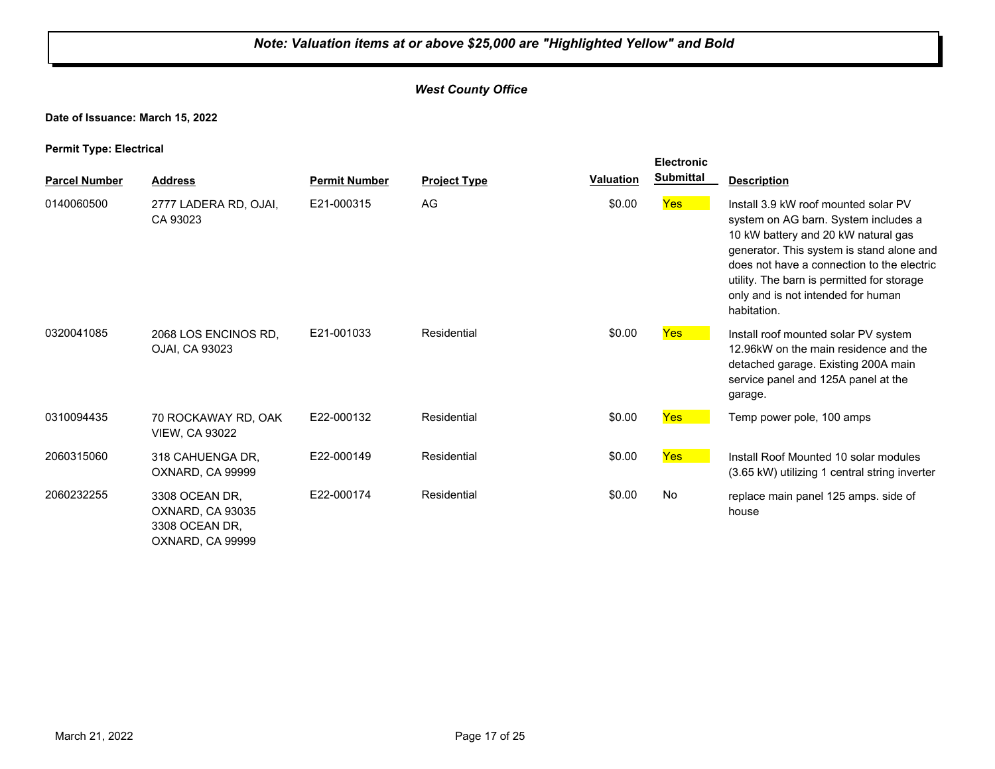#### *West County Office*

#### **Date of Issuance: March 15, 2022**

**Permit Type: Electrical**

|                      |                                                                          |                      |                     |                  | <b>Electronic</b> |                                                                                                                                                                                                                                                                                                                   |
|----------------------|--------------------------------------------------------------------------|----------------------|---------------------|------------------|-------------------|-------------------------------------------------------------------------------------------------------------------------------------------------------------------------------------------------------------------------------------------------------------------------------------------------------------------|
| <b>Parcel Number</b> | <b>Address</b>                                                           | <b>Permit Number</b> | <b>Project Type</b> | <b>Valuation</b> | <b>Submittal</b>  | <b>Description</b>                                                                                                                                                                                                                                                                                                |
| 0140060500           | 2777 LADERA RD, OJAI,<br>CA 93023                                        | E21-000315           | AG                  | \$0.00           | <b>Yes</b>        | Install 3.9 kW roof mounted solar PV<br>system on AG barn. System includes a<br>10 kW battery and 20 kW natural gas<br>generator. This system is stand alone and<br>does not have a connection to the electric<br>utility. The barn is permitted for storage<br>only and is not intended for human<br>habitation. |
| 0320041085           | 2068 LOS ENCINOS RD.<br>OJAI, CA 93023                                   | E21-001033           | Residential         | \$0.00           | <b>Yes</b>        | Install roof mounted solar PV system<br>12.96kW on the main residence and the<br>detached garage. Existing 200A main<br>service panel and 125A panel at the<br>garage.                                                                                                                                            |
| 0310094435           | 70 ROCKAWAY RD, OAK<br><b>VIEW, CA 93022</b>                             | E22-000132           | Residential         | \$0.00           | <b>Yes</b>        | Temp power pole, 100 amps                                                                                                                                                                                                                                                                                         |
| 2060315060           | 318 CAHUENGA DR,<br>OXNARD, CA 99999                                     | E22-000149           | Residential         | \$0.00           | <b>Yes</b>        | Install Roof Mounted 10 solar modules<br>(3.65 kW) utilizing 1 central string inverter                                                                                                                                                                                                                            |
| 2060232255           | 3308 OCEAN DR,<br>OXNARD, CA 93035<br>3308 OCEAN DR,<br>OXNARD, CA 99999 | E22-000174           | Residential         | \$0.00           | No                | replace main panel 125 amps. side of<br>house                                                                                                                                                                                                                                                                     |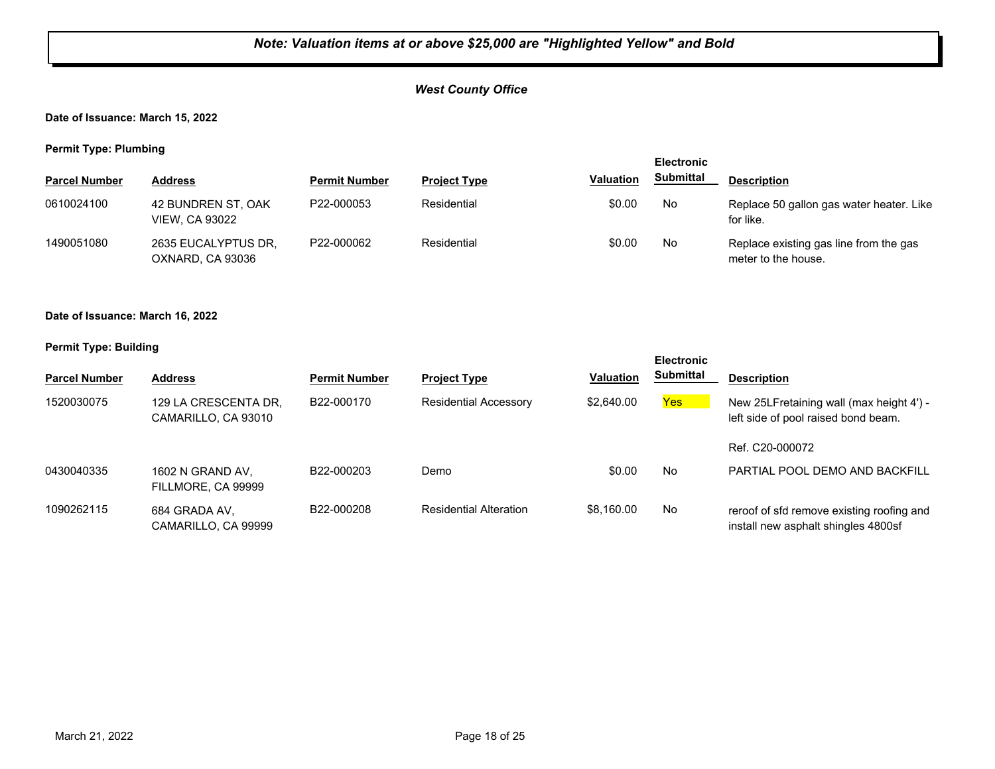#### *West County Office*

#### **Date of Issuance: March 15, 2022**

**Permit Type: Plumbing**

| . .                  |                                             |                      |                     |                  | <b>Electronic</b> |                                                               |
|----------------------|---------------------------------------------|----------------------|---------------------|------------------|-------------------|---------------------------------------------------------------|
| <b>Parcel Number</b> | <b>Address</b>                              | <b>Permit Number</b> | <b>Project Type</b> | <b>Valuation</b> | <b>Submittal</b>  | <b>Description</b>                                            |
| 0610024100           | 42 BUNDREN ST, OAK<br><b>VIEW, CA 93022</b> | P22-000053           | Residential         | \$0.00           | No                | Replace 50 gallon gas water heater. Like<br>for like.         |
| 1490051080           | 2635 EUCALYPTUS DR.<br>OXNARD, CA 93036     | P22-000062           | Residential         | \$0.00           | No                | Replace existing gas line from the gas<br>meter to the house. |

#### **Date of Issuance: March 16, 2022**

|                      |                                             |                      |                               |                  | <b>Electronic</b> |                                                                                  |
|----------------------|---------------------------------------------|----------------------|-------------------------------|------------------|-------------------|----------------------------------------------------------------------------------|
| <b>Parcel Number</b> | <b>Address</b>                              | <b>Permit Number</b> | <b>Project Type</b>           | <b>Valuation</b> | Submittal         | <b>Description</b>                                                               |
| 1520030075           | 129 LA CRESCENTA DR,<br>CAMARILLO, CA 93010 | B22-000170           | <b>Residential Accessory</b>  | \$2,640.00       | <b>Yes</b>        | New 25LFretaining wall (max height 4') -<br>left side of pool raised bond beam.  |
|                      |                                             |                      |                               |                  |                   | Ref. C20-000072                                                                  |
| 0430040335           | 1602 N GRAND AV.<br>FILLMORE, CA 99999      | B22-000203           | Demo                          | \$0.00           | No                | PARTIAL POOL DEMO AND BACKFILL                                                   |
| 1090262115           | 684 GRADA AV,<br>CAMARILLO, CA 99999        | B22-000208           | <b>Residential Alteration</b> | \$8,160.00       | No                | reroof of sfd remove existing roofing and<br>install new asphalt shingles 4800sf |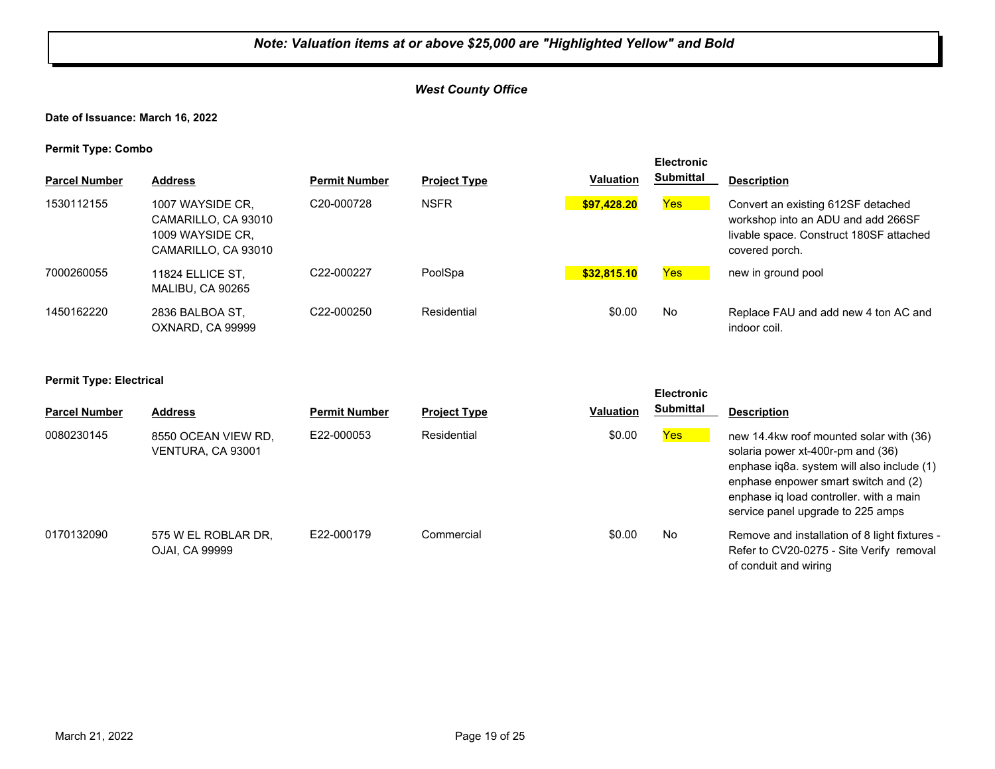#### *West County Office*

#### **Date of Issuance: March 16, 2022**

**Permit Type: Combo**

| . .                  |                                                                                    |                         |                     |                  | <b>Electronic</b> |                                                                                                                                       |
|----------------------|------------------------------------------------------------------------------------|-------------------------|---------------------|------------------|-------------------|---------------------------------------------------------------------------------------------------------------------------------------|
| <b>Parcel Number</b> | <b>Address</b>                                                                     | <b>Permit Number</b>    | <b>Project Type</b> | <b>Valuation</b> | Submittal         | <b>Description</b>                                                                                                                    |
| 1530112155           | 1007 WAYSIDE CR.<br>CAMARILLO, CA 93010<br>1009 WAYSIDE CR.<br>CAMARILLO, CA 93010 | C <sub>20</sub> -000728 | <b>NSFR</b>         | \$97.428.20      | <b>Yes</b>        | Convert an existing 612SF detached<br>workshop into an ADU and add 266SF<br>livable space. Construct 180SF attached<br>covered porch. |
| 7000260055           | 11824 ELLICE ST.<br>MALIBU, CA 90265                                               | C22-000227              | PoolSpa             | \$32,815.10      | <b>Yes</b>        | new in ground pool                                                                                                                    |
| 1450162220           | 2836 BALBOA ST.<br>OXNARD, CA 99999                                                | C22-000250              | Residential         | \$0.00           | No                | Replace FAU and add new 4 ton AC and<br>indoor coil.                                                                                  |

#### **Permit Type: Electrical**

| <b>Electronic</b>    |                                          |                      |                     |                  |           |                                                                                                                                                                                                                                                    |
|----------------------|------------------------------------------|----------------------|---------------------|------------------|-----------|----------------------------------------------------------------------------------------------------------------------------------------------------------------------------------------------------------------------------------------------------|
| <b>Parcel Number</b> | <b>Address</b>                           | <b>Permit Number</b> | <b>Project Type</b> | <b>Valuation</b> | Submittal | <b>Description</b>                                                                                                                                                                                                                                 |
| 0080230145           | 8550 OCEAN VIEW RD.<br>VENTURA, CA 93001 | E22-000053           | Residential         | \$0.00           | Yes       | new 14.4kw roof mounted solar with (36)<br>solaria power xt-400r-pm and (36)<br>enphase iq8a. system will also include (1)<br>enphase enpower smart switch and (2)<br>enphase iq load controller. with a main<br>service panel upgrade to 225 amps |
| 0170132090           | 575 W EL ROBLAR DR.<br>OJAI, CA 99999    | F22-000179           | Commercial          | \$0.00           | No        | Remove and installation of 8 light fixtures -<br>Refer to CV20-0275 - Site Verify removal<br>of conduit and wiring                                                                                                                                 |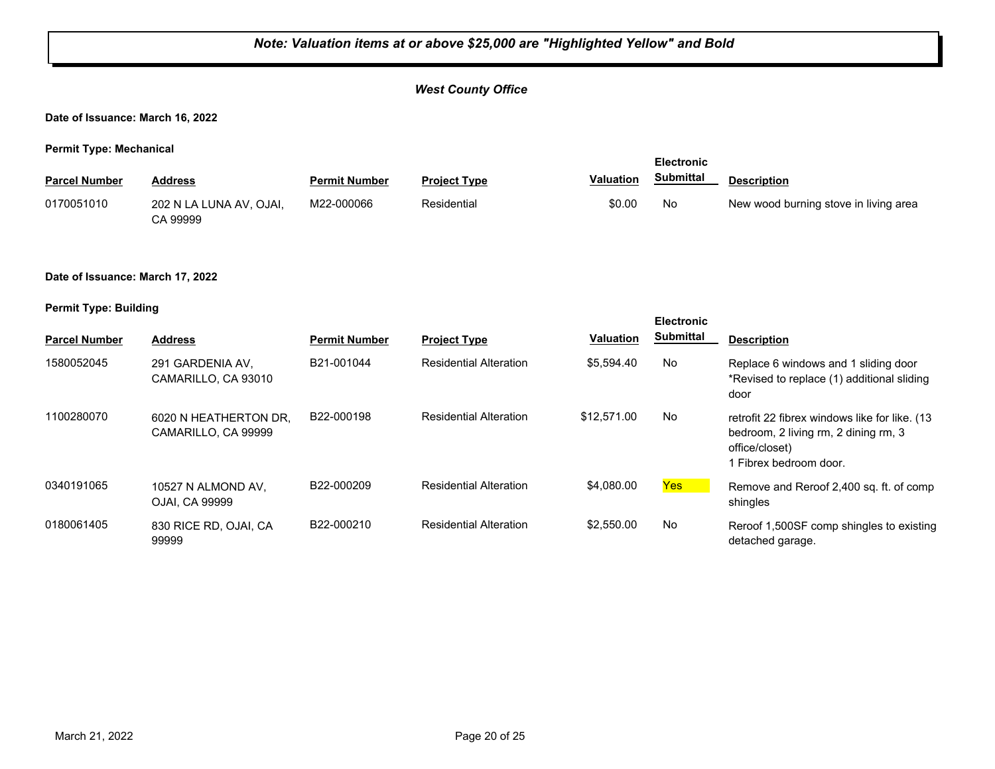#### *West County Office*

**Date of Issuance: March 16, 2022**

**Permit Type: Mechanical**

| <b>Parcel Number</b> | Address                             | <b>Permit Number</b> | <b>Project Type</b> | <b>Valuation</b> | <b>Submittal</b> | <b>Description</b>                    |
|----------------------|-------------------------------------|----------------------|---------------------|------------------|------------------|---------------------------------------|
| 0170051010           | 202 N LA LUNA AV, OJAI,<br>CA 99999 | M22-000066           | Residential         | \$0.00           | No               | New wood burning stove in living area |

**Date of Issuance: March 17, 2022**

|                      |                                              |                      |                               |                  | <b>Electronic</b> |                                                                                                                                  |
|----------------------|----------------------------------------------|----------------------|-------------------------------|------------------|-------------------|----------------------------------------------------------------------------------------------------------------------------------|
| <b>Parcel Number</b> | <b>Address</b>                               | <b>Permit Number</b> | <b>Project Type</b>           | <b>Valuation</b> | <b>Submittal</b>  | <b>Description</b>                                                                                                               |
| 1580052045           | 291 GARDENIA AV.<br>CAMARILLO, CA 93010      | B21-001044           | <b>Residential Alteration</b> | \$5.594.40       | No.               | Replace 6 windows and 1 sliding door<br>*Revised to replace (1) additional sliding<br>door                                       |
| 1100280070           | 6020 N HEATHERTON DR.<br>CAMARILLO, CA 99999 | B22-000198           | <b>Residential Alteration</b> | \$12,571.00      | <b>No</b>         | retrofit 22 fibrex windows like for like. (13)<br>bedroom, 2 living rm, 2 dining rm, 3<br>office/closet)<br>Fibrex bedroom door. |
| 0340191065           | 10527 N ALMOND AV,<br>OJAI. CA 99999         | B22-000209           | <b>Residential Alteration</b> | \$4,080,00       | Yes               | Remove and Reroof 2,400 sq. ft. of comp<br>shingles                                                                              |
| 0180061405           | 830 RICE RD, OJAI, CA<br>99999               | B22-000210           | <b>Residential Alteration</b> | \$2,550.00       | No.               | Reroof 1,500SF comp shingles to existing<br>detached garage.                                                                     |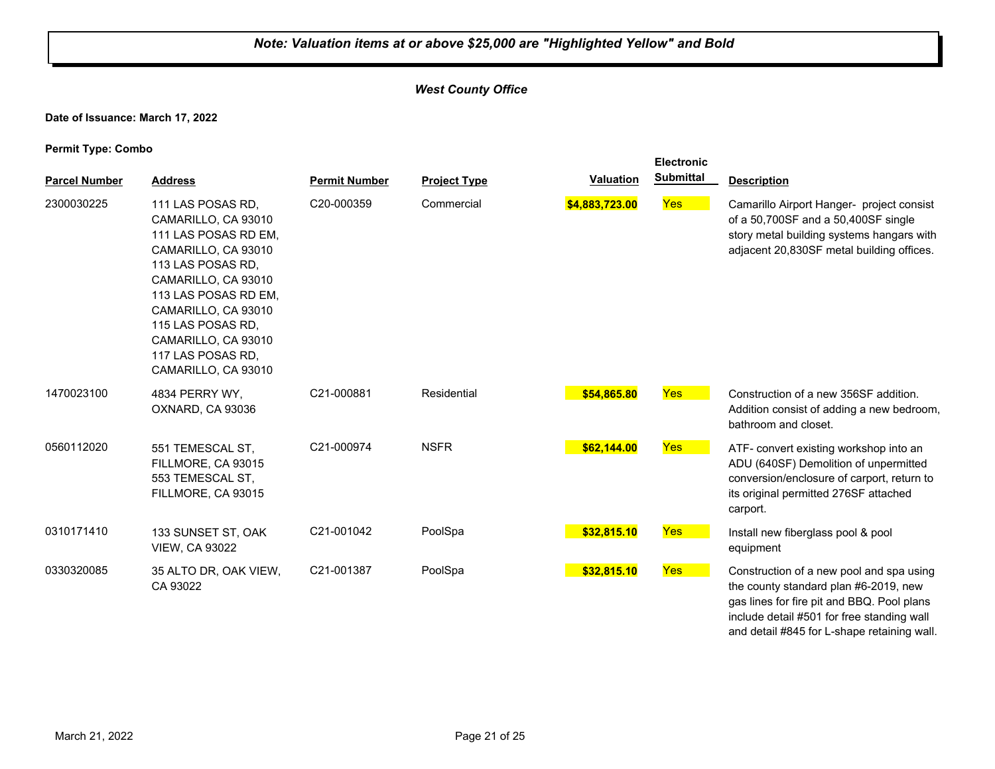#### *West County Office*

**Date of Issuance: March 17, 2022**

| <b>Parcel Number</b> | <b>Address</b>                                                                                                                                                                                                                                                             | <b>Permit Number</b> | <b>Project Type</b> | <b>Valuation</b> | <b>Electronic</b><br><b>Submittal</b> | <b>Description</b>                                                                                                                                                                                                           |
|----------------------|----------------------------------------------------------------------------------------------------------------------------------------------------------------------------------------------------------------------------------------------------------------------------|----------------------|---------------------|------------------|---------------------------------------|------------------------------------------------------------------------------------------------------------------------------------------------------------------------------------------------------------------------------|
| 2300030225           | 111 LAS POSAS RD,<br>CAMARILLO, CA 93010<br>111 LAS POSAS RD EM,<br>CAMARILLO, CA 93010<br>113 LAS POSAS RD,<br>CAMARILLO, CA 93010<br>113 LAS POSAS RD EM,<br>CAMARILLO, CA 93010<br>115 LAS POSAS RD,<br>CAMARILLO, CA 93010<br>117 LAS POSAS RD,<br>CAMARILLO, CA 93010 | C20-000359           | Commercial          | \$4,883,723.00   | Yes                                   | Camarillo Airport Hanger- project consist<br>of a 50,700SF and a 50,400SF single<br>story metal building systems hangars with<br>adjacent 20,830SF metal building offices.                                                   |
| 1470023100           | 4834 PERRY WY.<br>OXNARD, CA 93036                                                                                                                                                                                                                                         | C21-000881           | Residential         | \$54,865.80      | Yes                                   | Construction of a new 356SF addition.<br>Addition consist of adding a new bedroom,<br>bathroom and closet.                                                                                                                   |
| 0560112020           | 551 TEMESCAL ST,<br>FILLMORE, CA 93015<br>553 TEMESCAL ST,<br>FILLMORE, CA 93015                                                                                                                                                                                           | C21-000974           | <b>NSFR</b>         | \$62,144.00      | Yes                                   | ATF- convert existing workshop into an<br>ADU (640SF) Demolition of unpermitted<br>conversion/enclosure of carport, return to<br>its original permitted 276SF attached<br>carport.                                           |
| 0310171410           | 133 SUNSET ST, OAK<br><b>VIEW, CA 93022</b>                                                                                                                                                                                                                                | C21-001042           | PoolSpa             | \$32,815.10      | Yes                                   | Install new fiberglass pool & pool<br>equipment                                                                                                                                                                              |
| 0330320085           | 35 ALTO DR, OAK VIEW,<br>CA 93022                                                                                                                                                                                                                                          | C21-001387           | PoolSpa             | \$32,815.10      | Yes                                   | Construction of a new pool and spa using<br>the county standard plan #6-2019, new<br>gas lines for fire pit and BBQ. Pool plans<br>include detail #501 for free standing wall<br>and detail #845 for L-shape retaining wall. |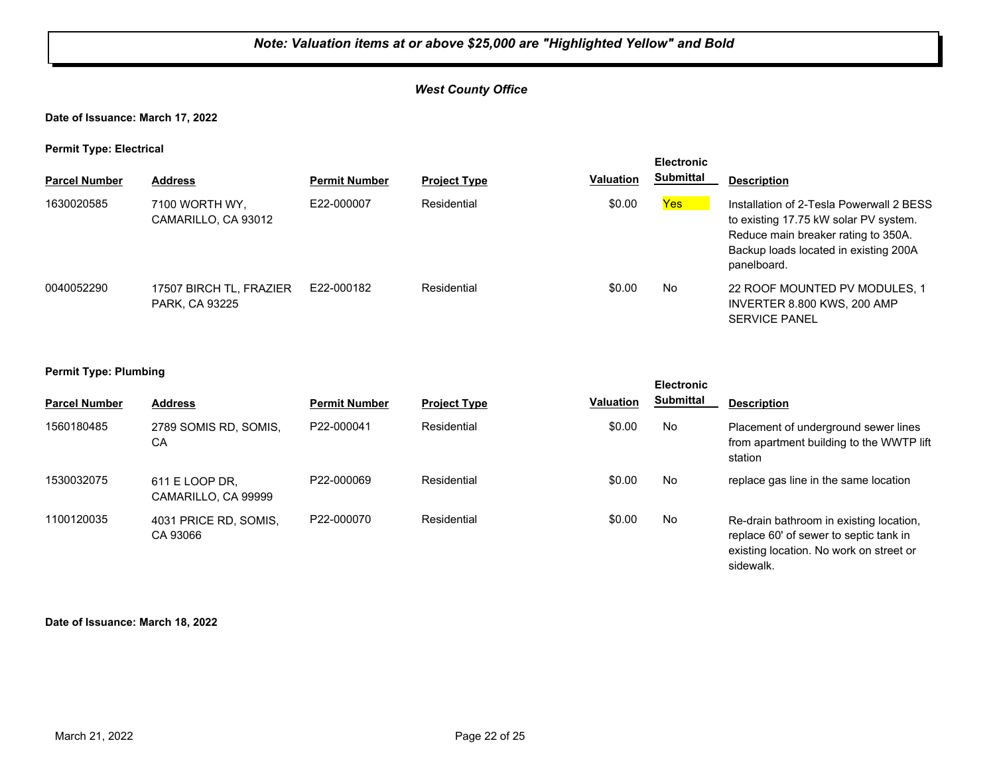#### *West County Office*

#### **Date of Issuance: March 17, 2022**

**Permit Type: Electrical**

| . .                  |                                           |                      |                     |           | <b>Electronic</b> |                                                                                                                                                                                  |
|----------------------|-------------------------------------------|----------------------|---------------------|-----------|-------------------|----------------------------------------------------------------------------------------------------------------------------------------------------------------------------------|
| <b>Parcel Number</b> | <b>Address</b>                            | <b>Permit Number</b> | <b>Project Type</b> | Valuation | <b>Submittal</b>  | <b>Description</b>                                                                                                                                                               |
| 1630020585           | 7100 WORTH WY,<br>CAMARILLO, CA 93012     | E22-000007           | Residential         | \$0.00    | Yes               | Installation of 2-Tesla Powerwall 2 BESS<br>to existing 17.75 kW solar PV system.<br>Reduce main breaker rating to 350A.<br>Backup loads located in existing 200A<br>panelboard. |
| 0040052290           | 17507 BIRCH TL, FRAZIER<br>PARK, CA 93225 | E22-000182           | Residential         | \$0.00    | No                | 22 ROOF MOUNTED PV MODULES, 1<br>INVERTER 8.800 KWS, 200 AMP<br><b>SERVICE PANEL</b>                                                                                             |

## **Permit Type: Plumbing**

| . .                  |                                       |                      |                     |           | <b>Electronic</b> |                                                                                                                              |
|----------------------|---------------------------------------|----------------------|---------------------|-----------|-------------------|------------------------------------------------------------------------------------------------------------------------------|
| <b>Parcel Number</b> | <b>Address</b>                        | <b>Permit Number</b> | <b>Project Type</b> | Valuation | <b>Submittal</b>  | <b>Description</b>                                                                                                           |
| 1560180485           | 2789 SOMIS RD, SOMIS,<br>СA           | P22-000041           | Residential         | \$0.00    | No.               | Placement of underground sewer lines<br>from apartment building to the WWTP lift<br>station                                  |
| 1530032075           | 611 E LOOP DR,<br>CAMARILLO, CA 99999 | P22-000069           | Residential         | \$0.00    | No                | replace gas line in the same location                                                                                        |
| 1100120035           | 4031 PRICE RD, SOMIS,<br>CA 93066     | P22-000070           | Residential         | \$0.00    | No                | Re-drain bathroom in existing location,<br>replace 60' of sewer to septic tank in<br>existing location. No work on street or |

sidewalk.

#### **Date of Issuance: March 18, 2022**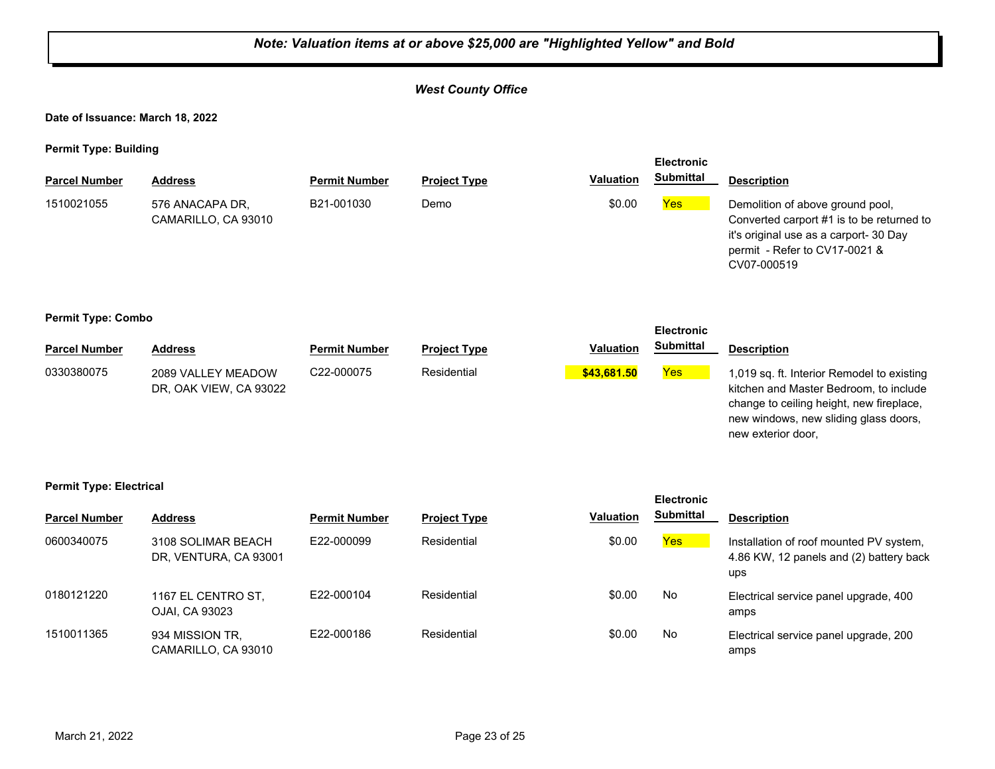#### *Note: Valuation items at or above \$25,000 are "Highlighted Yellow" and Bold West County Office* **Date of Issuance: March 18, 2022 Permit Type: Building Parcel Number Address <b>Permit Number Project Type Valuation Submittal** Description **Electronic Submittal** 1510021055 576 ANACAPA DR, B21-001030 Demo \$0.00 <mark>Yes</mark> CAMARILLO, CA 93010 B21-001030 Demo **Demo** \$0.00 **Yes** Demolition of above ground pool, Converted carport #1 is to be returned to it's original use as a carport- 30 Day permit - Refer to CV17-0021 & CV07-000519 **Permit Type: Combo Parcel Number Address <b>Permit Number Project Type Valuation Submittal Description Electronic Submittal** 0330380075 2089 VALLEY MEADOW C22-000075 Residential <mark> \$43,681.50</mark> <mark>Yes</mark> DR, OAK VIEW, CA 93022 C22-000075 Residential **\$43,681.50** 1,019 sq. ft. Interior Remodel to existing kitchen and Master Bedroom, to include change to ceiling height, new fireplace, new windows, new sliding glass doors, new exterior door, **Permit Type: Electrical Parcel Number Address Permit Number Project Type Valuation Description Electronic Submittal** 0600340075 3108 SOLIMAR BEACH E22-000099 Residential \$0.00 <mark>Yes</mark> DR, VENTURA, CA 93001 E22-000099 Residential **Residential** \$0.00 **Yes** Installation of roof mounted PV system, 4.86 KW, 12 panels and (2) battery back ups 0180121220 1167 EL CENTRO ST, E22-000104 Residential \$0.00 No OJAI, CA 93023 E22-000104 Residential **Residential 50.00** No Electrical service panel upgrade, 400 amps 1510011365 934 MISSION TR, E22-000186 Residential \$0.00 No CAMARILLO, CA 93010 E22-000186 Residential **Residential SO.00** No Electrical service panel upgrade, 200 amps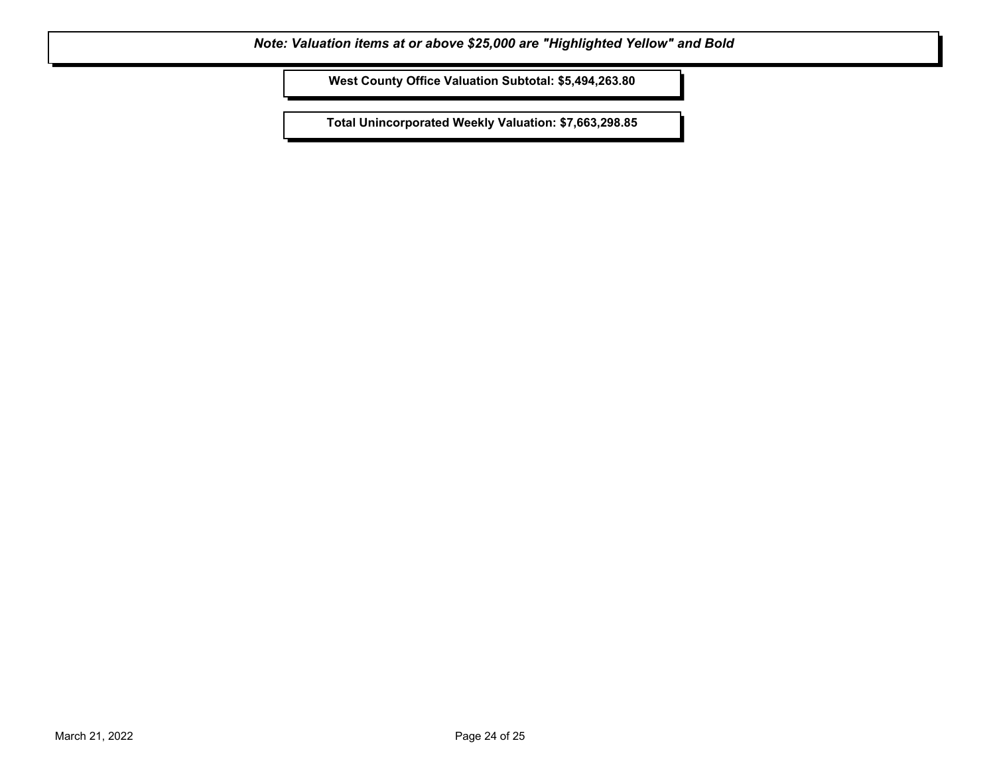**West County Office Valuation Subtotal: \$5,494,263.80**

**Total Unincorporated Weekly Valuation: \$7,663,298.85**